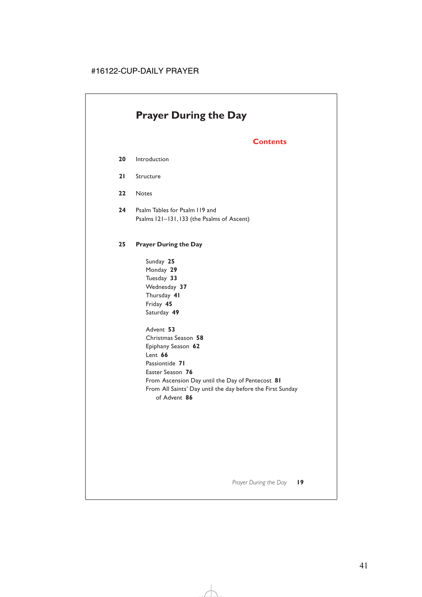## **Prayer During the Day**

## **Contents**

- **20** Introduction
- **21** Structure
- **22** Notes
- **24** Psalm Tables for Psalm 119 and Psalms 121–131,133 (the Psalms of Ascent)

#### **25 Prayer During the Day**

Sunday **25** Monday **29** Tuesday **33** Wednesday **37** Thursday **41** Friday **45** Saturday **49**

Advent **53** Christmas Season **58** Epiphany Season **62** Lent **66** Passiontide **71** Easter Season **76** From Ascension Day until the Day of Pentecost **81** From All Saints' Day until the day before the First Sunday of Advent **86**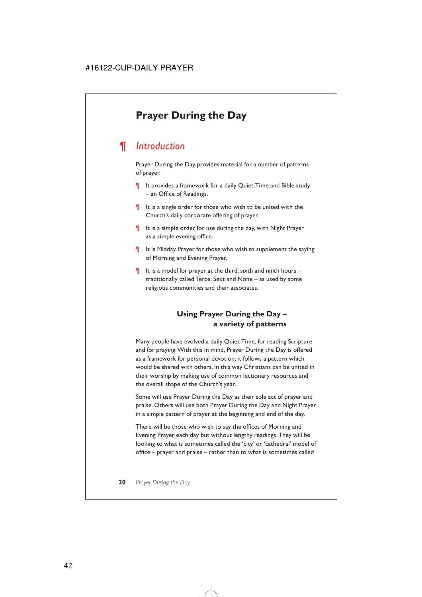## **Prayer During the Day**

## *¶ Introduction*

Prayer During the Day provides material for a number of patterns of prayer.

- **T** It provides a framework for a daily Quiet Time and Bible study – an Office of Readings.
- ¶ It is a single order for those who wish to be united with the Church's daily corporate offering of prayer.
- ¶ It is a simple order for use during the day, with Night Prayer as a simple evening office.
- ¶ It is Midday Prayer for those who wish to supplement the saying of Morning and Evening Prayer.
- $\parallel$  It is a model for prayer at the third, sixth and ninth hours traditionally called Terce, Sext and None – as used by some religious communities and their associates.

## **Using Prayer During the Day – a variety of patterns**

Many people have evolved a daily Quiet Time, for reading Scripture and for praying.With this in mind, Prayer During the Day is offered as a framework for personal devotion; it follows a pattern which would be shared with others. In this way Christians can be united in their worship by making use of common lectionary resources and the overall shape of the Church's year.

Some will use Prayer During the Day as their sole act of prayer and praise. Others will use both Prayer During the Day and Night Prayer in a simple pattern of prayer at the beginning and end of the day.

There will be those who wish to say the offices of Morning and Evening Prayer each day but without lengthy readings. They will be looking to what is sometimes called the 'city' or 'cathedral' model of office – prayer and praise – rather than to what is sometimes called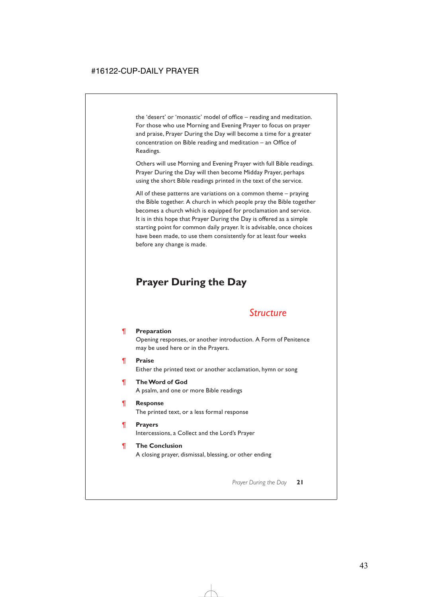the 'desert' or 'monastic' model of office – reading and meditation. For those who use Morning and Evening Prayer to focus on prayer and praise, Prayer During the Day will become a time for a greater concentration on Bible reading and meditation – an Office of Readings.

Others will use Morning and Evening Prayer with full Bible readings*.* Prayer During the Day will then become Midday Prayer, perhaps using the short Bible readings printed in the text of the service.

All of these patterns are variations on a common theme – praying the Bible together. A church in which people pray the Bible together becomes a church which is equipped for proclamation and service. It is in this hope that Prayer During the Day is offered as a simple starting point for common daily prayer. It is advisable, once choices have been made, to use them consistently for at least four weeks before any change is made.

## **Prayer During the Day**

## *Structure*

## ¶ **Preparation** Opening responses, or another introduction. A Form of Penitence may be used here or in the Prayers. ¶ **Praise** Either the printed text or another acclamation, hymn or song ¶ **The Word of God** A psalm, and one or more Bible readings ¶ **Response** The printed text, or a less formal response ¶ **Prayers** Intercessions, a Collect and the Lord's Prayer ¶ **The Conclusion** A closing prayer, dismissal, blessing, or other ending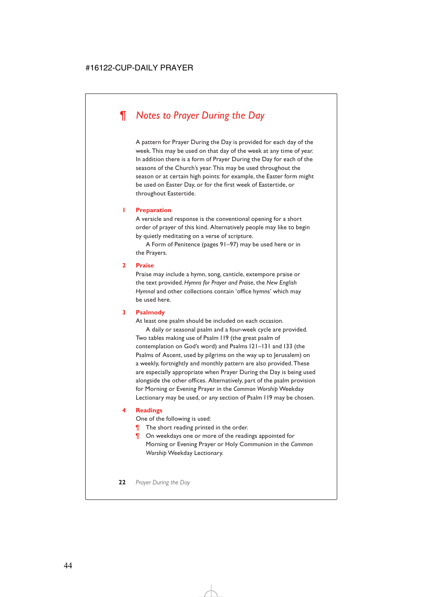# *¶ Notes to Prayer During the Day*

A pattern for Prayer During the Day is provided for each day of the week. This may be used on that day of the week at any time of year. In addition there is a form of Prayer During the Day for each of the seasons of the Church's year. This may be used throughout the season or at certain high points: for example, the Easter form might be used on Easter Day, or for the first week of Eastertide, or throughout Eastertide.

#### **1 Preparation**

A versicle and response is the conventional opening for a short order of prayer of this kind. Alternatively people may like to begin by quietly meditating on a verse of scripture.

A Form of Penitence (pages 91–97) may be used here or in the Prayers.

#### **2 Praise**

Praise may include a hymn, song, canticle, extempore praise or the text provided.*Hymns for Prayer and Praise*, the *New English Hymnal* and other collections contain 'office hymns' which may be used here.

#### **3 Psalmody**

At least one psalm should be included on each occasion.

A daily or seasonal psalm and a four-week cycle are provided. Two tables making use of Psalm 119 (the great psalm of contemplation on God's word) and Psalms 121–131 and 133 (the Psalms of Ascent, used by pilgrims on the way up to Jerusalem) on a weekly, fortnightly and monthly pattern are also provided. These are especially appropriate when Prayer During the Day is being used alongside the other offices. Alternatively, part of the psalm provision for Morning or Evening Prayer in the *Common Worship* Weekday Lectionary may be used, or any section of Psalm 119 may be chosen.

#### **4 Readings**

One of the following is used:

- **The short reading printed in the order.**
- **T** On weekdays one or more of the readings appointed for Morning or Evening Prayer or Holy Communion in the *Common Worship* Weekday Lectionary.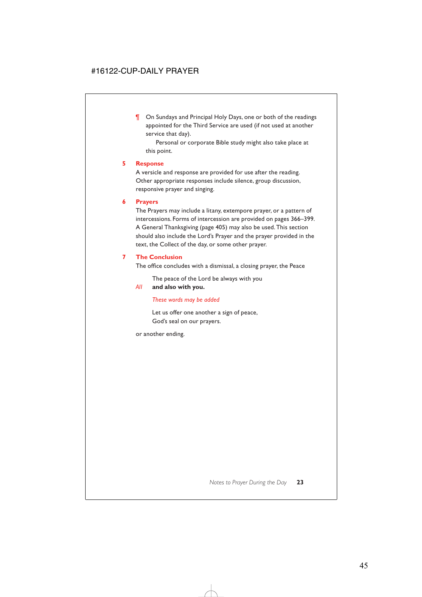**T** On Sundays and Principal Holy Days, one or both of the readings appointed for the Third Service are used (if not used at another service that day).

Personal or corporate Bible study might also take place at this point.

#### **5 Response**

A versicle and response are provided for use after the reading. Other appropriate responses include silence, group discussion, responsive prayer and singing.

#### **6 Prayers**

The Prayers may include a litany, extempore prayer, or a pattern of intercessions. Forms of intercession are provided on pages 366–399. A General Thanksgiving (page 405) may also be used. This section should also include the Lord's Prayer and the prayer provided in the text, the Collect of the day, or some other prayer.

#### **7 The Conclusion**

The office concludes with a dismissal, a closing prayer, the Peace

The peace of the Lord be always with you

#### *All* **and also with you.**

#### *These words may be added*

Let us offer one another a sign of peace, God's seal on our prayers.

or another ending.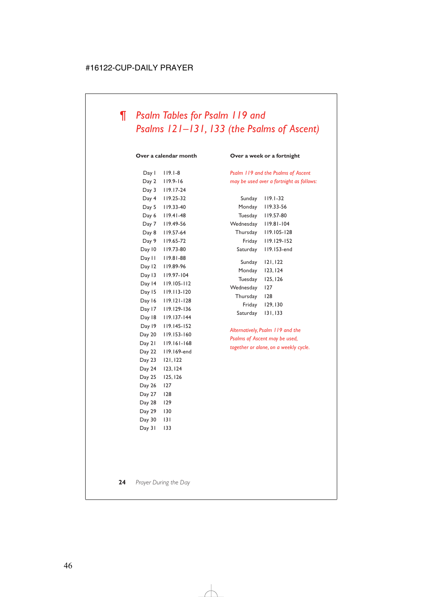# *¶ Psalm Tables for Psalm 119 and Psalms 121–131, 133 (the Psalms of Ascent)*

#### **Over a calendar month**

| Day I  | 119.1-8             |
|--------|---------------------|
| Day 2  | 119.9-16            |
| Day 3  | 119.17-24           |
| Day 4  | 119.25-32           |
| Day 5  | 119.33-40           |
| Day 6  | 119.41-48           |
| Day 7  | 119.49-56           |
| Day 8  | 119.57-64           |
| Day 9  | 19.65-72<br>L       |
| Day 10 | 119.73-80           |
| Day II | 119.81-88           |
| Day 12 | 119.89-96           |
| Day 13 | 119.97-104          |
| Day 14 | 19.105-112<br>L     |
| Day 15 | 119.113-120         |
| Day 16 | 19.121-128<br>L     |
| Day 17 | 119.129-136         |
| Day 18 | 119.137-144         |
| Day 19 | 19.145-152<br>L     |
| Day 20 | 119.153-160         |
| Day 21 | $19.161 - 168$<br>L |
| Day 22 | 119.169-end         |
| Day 23 | 121, 122            |
| Day 24 | 123, 124            |
| Day 25 | 125, 126            |
| Day 26 | 127                 |
| Day 27 | 128                 |
| Day 28 | 129                 |
| Day 29 | 130                 |
| Day 30 | 131                 |
| Day 31 | 133                 |

#### **Over a week or a fortnight**

*Psalm 119 and the Psalms of Ascent may be used over a fortnight as follows:*

| Sunday    | 119.1-32    |
|-----------|-------------|
| Monday    | 119.33-56   |
| Tuesday   | 119.57-80   |
| Wednesday | 119.81-104  |
| Thursday  | 119.105-128 |
| Friday    | 119.129-152 |
| Saturday  | 119.153-end |
|           | 121,122     |
| Sunday    |             |
| Monday    | 123, 124    |
| Tuesday   | 125, 126    |
| Wednesday | 127         |
| Thursday  | 128         |
| Friday    | 129.130     |

*Alternatively, Psalm 119 and the Psalms of Ascent may be used, together or alone, on a weekly cycle.*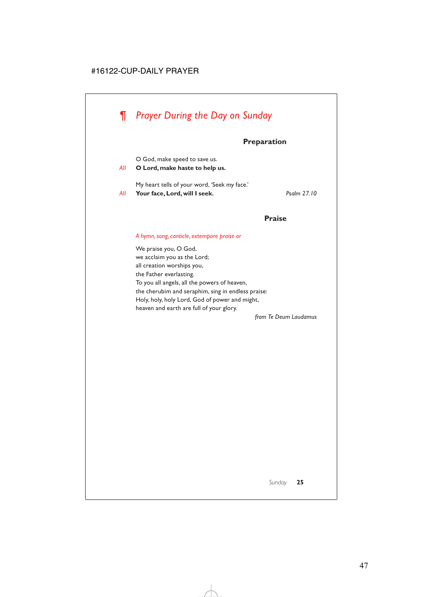# *¶ Prayer During the Day on Sunday*

## **Preparation**

O God, make speed to save us.

#### *All* **O Lord, make haste to help us.**

My heart tells of your word, 'Seek my face.'

*All* **Your face, Lord, will I seek.** *Psalm 27.10*

## **Praise**

#### *A hymn, song, canticle, extempore praise or*

We praise you, O God, we acclaim you as the Lord; all creation worships you, the Father everlasting. To you all angels, all the powers of heaven, the cherubim and seraphim, sing in endless praise: Holy, holy, holy Lord, God of power and might, heaven and earth are full of your glory.

*from Te Deum Laudamus*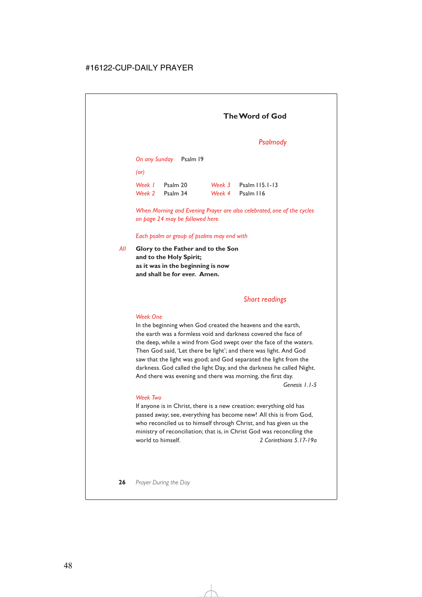## **The Word of God**

### *Psalmody*

*On any Sunday* Psalm 19 *(or) Week 1* Psalm 20 *Week 3* Psalm 115.1-13 *Week 2* Psalm 34 *Week 4* Psalm 116

*When Morning and Evening Prayer are also celebrated, one of the cycles on page 24 may be followed here.*

*Each psalm or group of psalms may end with*

*All* **Glory to the Father and to the Son and to the Holy Spirit; as it was in the beginning is now and shall be for ever. Amen.**

## *Short readings*

#### *Week One*

In the beginning when God created the heavens and the earth, the earth was a formless void and darkness covered the face of the deep, while a wind from God swept over the face of the waters. Then God said, 'Let there be light'; and there was light. And God saw that the light was good; and God separated the light from the darkness. God called the light Day, and the darkness he called Night. And there was evening and there was morning, the first day.

*Genesis 1.1-5*

#### *Week Two*

If anyone is in Christ, there is a new creation: everything old has passed away; see, everything has become new! All this is from God, who reconciled us to himself through Christ, and has given us the ministry of reconciliation; that is, in Christ God was reconciling the world to himself. *2 Corinthians 5.17-19a*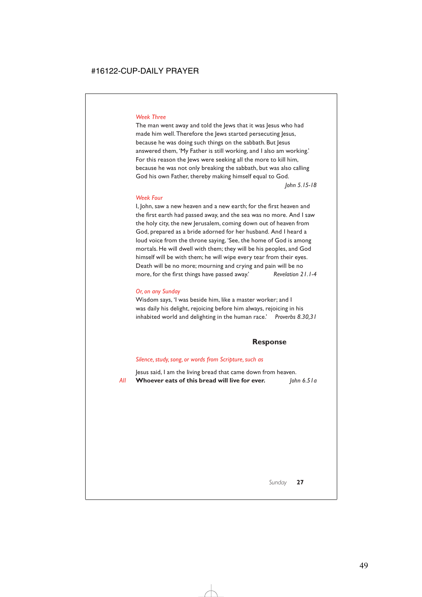#### *Week Three*

The man went away and told the lews that it was lesus who had made him well. Therefore the lews started persecuting lesus, because he was doing such things on the sabbath. But Jesus answered them, 'My Father is still working, and I also am working.' For this reason the Jews were seeking all the more to kill him, because he was not only breaking the sabbath, but was also calling God his own Father, thereby making himself equal to God.

*John 5.15-18*

#### *Week Four*

I, John, saw a new heaven and a new earth; for the first heaven and the first earth had passed away, and the sea was no more. And I saw the holy city, the new Jerusalem, coming down out of heaven from God, prepared as a bride adorned for her husband. And I heard a loud voice from the throne saying, 'See, the home of God is among mortals. He will dwell with them; they will be his peoples, and God himself will be with them; he will wipe every tear from their eyes. Death will be no more; mourning and crying and pain will be no more, for the first things have passed away.' *Revelation 21.1-4*

#### *Or, on any Sunday*

Wisdom says, 'I was beside him, like a master worker; and I was daily his delight, rejoicing before him always, rejoicing in his inhabited world and delighting in the human race.' *Proverbs 8.30,31*

## **Response**

#### *Silence, study, song, or words from Scripture, such as*

Jesus said, I am the living bread that came down from heaven. *All* **Whoever eats of this bread will live for ever.** *John 6.51a*

*Sunday* **27**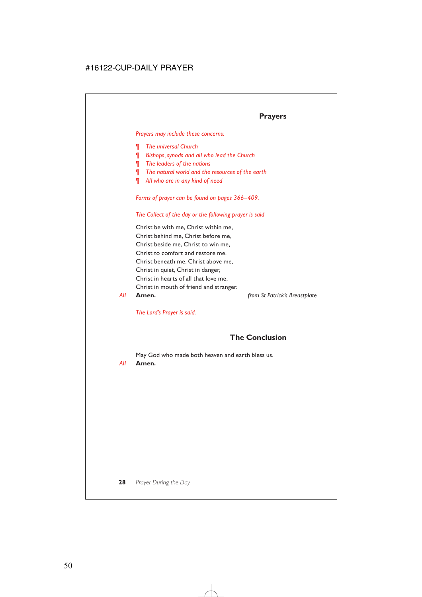## **Prayers**

*Prayers may include these concerns:*

- ¶ *The universal Church*
- ¶ *Bishops, synods and all who lead the Church*
- ¶ *The leaders of the nations*
- ¶ *The natural world and the resources of the earth*
- ¶ *All who are in any kind of need*

*Forms of prayer can be found on pages 366–409.*

*The Collect of the day or the following prayer is said*

Christ be with me, Christ within me, Christ behind me, Christ before me, Christ beside me, Christ to win me, Christ to comfort and restore me. Christ beneath me, Christ above me, Christ in quiet, Christ in danger, Christ in hearts of all that love me, Christ in mouth of friend and stranger.

*All* **Amen.** *from St Patrick's Breastplate*

*The Lord's Prayer is said.*

## **The Conclusion**

May God who made both heaven and earth bless us.

*All* **Amen.**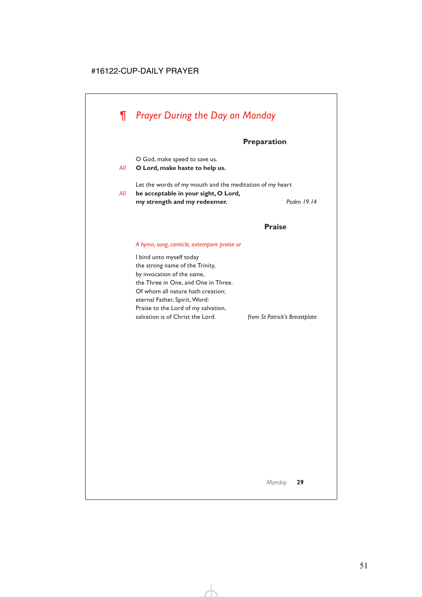## *¶ Prayer During the Day on Monday*

## **Preparation**

O God, make speed to save us.

*All* **O Lord, make haste to help us.**

Let the words of my mouth and the meditation of my heart *All* **be acceptable in your sight, O Lord, my strength and my redeemer.** *Psalm 19.14*

## **Praise**

#### *A hymn, song, canticle, extempore praise or*

I bind unto myself today the strong name of the Trinity, by invocation of the same, the Three in One, and One in Three. Of whom all nature hath creation; eternal Father, Spirit, Word: Praise to the Lord of my salvation, salvation is of Christ the Lord. *from St Patrick's Breastplate*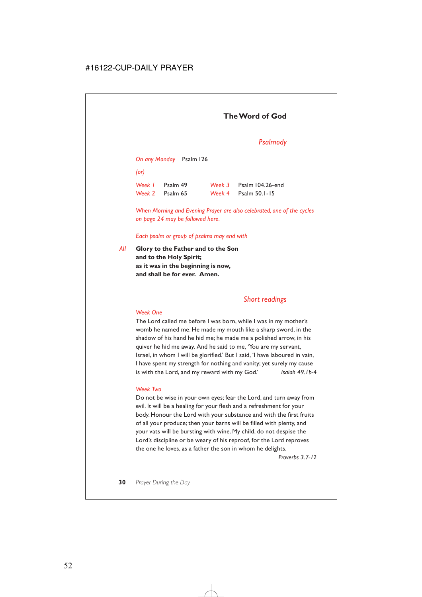## **The Word of God**

### *Psalmody*

*On any Monday* Psalm 126 *(or) Week 1* Psalm 49 *Week 3* Psalm 104.26-end *Week 2* Psalm 65 *Week 4* Psalm 50.1-15

*When Morning and Evening Prayer are also celebrated, one of the cycles on page 24 may be followed here.*

*Each psalm or group of psalms may end with*

*All* **Glory to the Father and to the Son and to the Holy Spirit; as it was in the beginning is now, and shall be for ever. Amen.**

## *Short readings*

#### *Week One*

The Lord called me before I was born, while I was in my mother's womb he named me. He made my mouth like a sharp sword, in the shadow of his hand he hid me; he made me a polished arrow, in his quiver he hid me away. And he said to me, 'You are my servant, Israel, in whom I will be glorified.' But I said, 'I have laboured in vain, I have spent my strength for nothing and vanity; yet surely my cause is with the Lord, and my reward with my God.' *Isaiah 49.1b-4*

#### *Week Two*

Do not be wise in your own eyes; fear the Lord, and turn away from evil. It will be a healing for your flesh and a refreshment for your body. Honour the Lord with your substance and with the first fruits of all your produce; then your barns will be filled with plenty, and your vats will be bursting with wine. My child, do not despise the Lord's discipline or be weary of his reproof, for the Lord reproves the one he loves, as a father the son in whom he delights.

*Proverbs 3.7-12*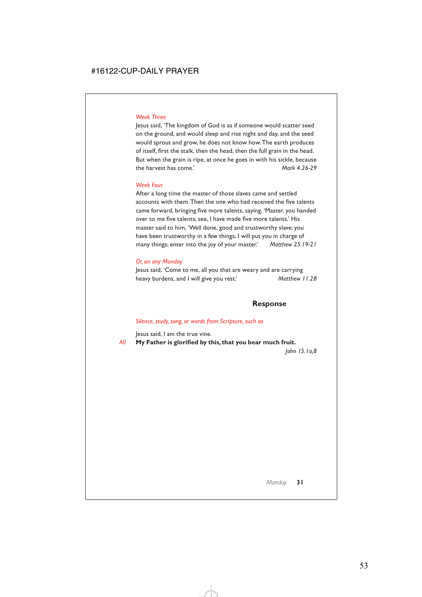#### *Week Three*

Jesus said, 'The kingdom of God is as if someone would scatter seed on the ground, and would sleep and rise night and day, and the seed would sprout and grow, he does not know how. The earth produces of itself, first the stalk, then the head, then the full grain in the head. But when the grain is ripe, at once he goes in with his sickle, because the harvest has come.' *Mark 4.26-29*

#### *Week Four*

After a long time the master of those slaves came and settled accounts with them. Then the one who had received the five talents came forward, bringing five more talents, saying, 'Master, you handed over to me five talents; see, I have made five more talents.' His master said to him, 'Well done, good and trustworthy slave; you have been trustworthy in a few things, I will put you in charge of many things; enter into the joy of your master.' *Matthew 25.19-21*

#### *Or, on any Monday*

Jesus said, 'Come to me, all you that are weary and are carrying heavy burdens, and I will give you rest.' *Matthew 11.28*

## **Response**

#### *Silence, study, song, or words from Scripture, such as*

Jesus said, I am the true vine.

#### *All* **My Father is glorified by this, that you bear much fruit.**

*John 15.1a,8*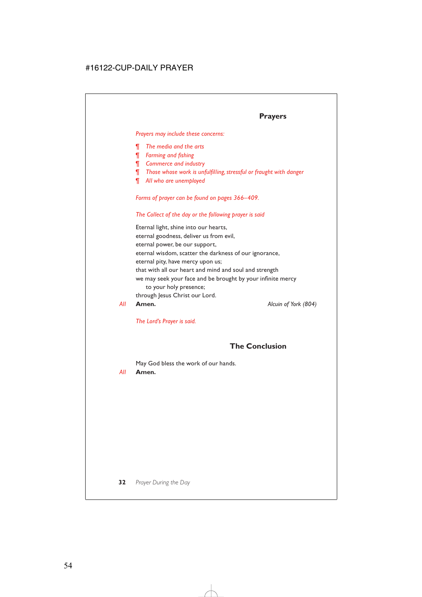## **Prayers**

*Prayers may include these concerns:*

- ¶ *The media and the arts*
- ¶ *Farming and fishing*
- ¶ *Commerce and industry*
- ¶ *Those whose work is unfulfilling, stressful or fraught with danger*
- ¶ *All who are unemployed*

*Forms of prayer can be found on pages 366–409.*

#### *The Collect of the day or the following prayer is said*

Eternal light, shine into our hearts, eternal goodness, deliver us from evil, eternal power, be our support, eternal wisdom, scatter the darkness of our ignorance, eternal pity, have mercy upon us; that with all our heart and mind and soul and strength we may seek your face and be brought by your infinite mercy to your holy presence;

through Jesus Christ our Lord.

*All* **Amen.** *Alcuin of York (804)*

#### *The Lord's Prayer is said.*

## **The Conclusion**

May God bless the work of our hands.

#### *All* **Amen.**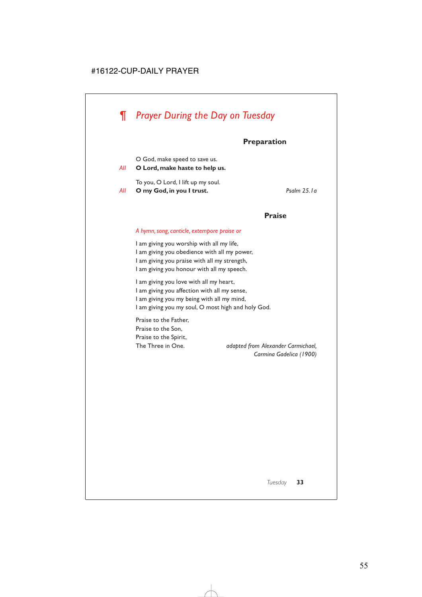## *¶ Prayer During the Day on Tuesday*

## **Preparation**

O God, make speed to save us.

#### *All* **O Lord, make haste to help us.**

To you, O Lord, I lift up my soul.

*All* **O my God, in you I trust.** *Psalm 25.1a*

### **Praise**

#### *A hymn, song, canticle, extempore praise or*

I am giving you worship with all my life, I am giving you obedience with all my power, I am giving you praise with all my strength, I am giving you honour with all my speech.

I am giving you love with all my heart, I am giving you affection with all my sense, I am giving you my being with all my mind, I am giving you my soul, O most high and holy God.

Praise to the Father, Praise to the Son, Praise to the Spirit,

The Three in One. *adapted from Alexander Carmichael, Carmina Gadelica (1900)*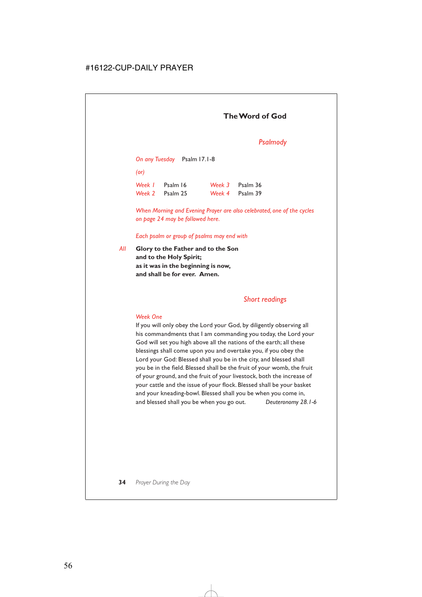## **The Word of God**

## *Psalmody*

*On any Tuesday* Psalm 17.1-8 *(or) Week 1* Psalm 16 *Week 3* Psalm 36 *Week 2* Psalm 25 *Week 4* Psalm 39

*When Morning and Evening Prayer are also celebrated, one of the cycles on page 24 may be followed here.*

*Each psalm or group of psalms may end with*

*All* **Glory to the Father and to the Son and to the Holy Spirit; as it was in the beginning is now, and shall be for ever. Amen.**

## *Short readings*

#### *Week One*

If you will only obey the Lord your God, by diligently observing all his commandments that I am commanding you today, the Lord your God will set you high above all the nations of the earth; all these blessings shall come upon you and overtake you, if you obey the Lord your God: Blessed shall you be in the city, and blessed shall you be in the field. Blessed shall be the fruit of your womb, the fruit of your ground, and the fruit of your livestock, both the increase of your cattle and the issue of your flock. Blessed shall be your basket and your kneading-bowl. Blessed shall you be when you come in, and blessed shall you be when you go out. *Deuteronomy 28.1-6*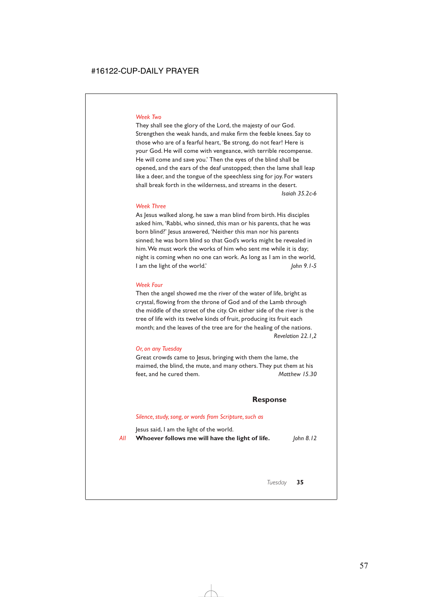#### *Week Two*

They shall see the glory of the Lord, the majesty of our God. Strengthen the weak hands, and make firm the feeble knees. Say to those who are of a fearful heart, 'Be strong, do not fear! Here is your God. He will come with vengeance, with terrible recompense. He will come and save you.' Then the eyes of the blind shall be opened, and the ears of the deaf unstopped; then the lame shall leap like a deer, and the tongue of the speechless sing for joy. For waters shall break forth in the wilderness, and streams in the desert.

*Isaiah 35.2c-6*

#### *Week Three*

As Jesus walked along, he saw a man blind from birth. His disciples asked him, 'Rabbi, who sinned, this man or his parents, that he was born blind?' Jesus answered, 'Neither this man nor his parents sinned; he was born blind so that God's works might be revealed in him.We must work the works of him who sent me while it is day; night is coming when no one can work. As long as I am in the world, I am the light of the world.' *John 9.1-5*

#### *Week Four*

Then the angel showed me the river of the water of life, bright as crystal, flowing from the throne of God and of the Lamb through the middle of the street of the city. On either side of the river is the tree of life with its twelve kinds of fruit, producing its fruit each month; and the leaves of the tree are for the healing of the nations. *Revelation 22.1,2*

#### *Or, on any Tuesday*

Great crowds came to Jesus, bringing with them the lame, the maimed, the blind, the mute, and many others. They put them at his feet, and he cured them. *Matthew 15.30*

#### **Response**

#### *Silence, study, song, or words from Scripture, such as*

Jesus said, I am the light of the world.

*All* **Whoever follows me will have the light of life.** *John 8.12*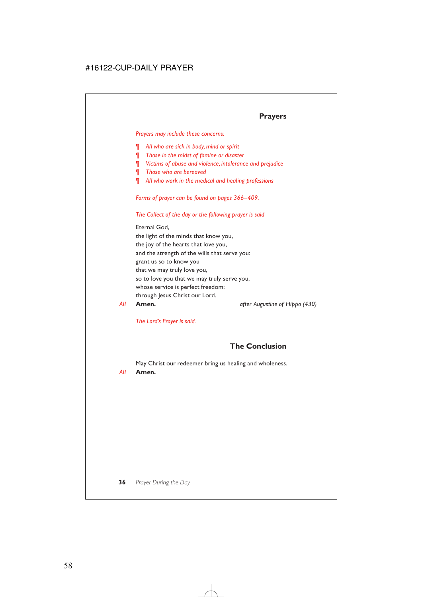## **Prayers**

*Prayers may include these concerns:*

- ¶ *All who are sick in body, mind or spirit*
- ¶ *Those in the midst of famine or disaster*
- ¶ *Victims of abuse and violence, intolerance and prejudice*
- ¶ *Those who are bereaved*
- ¶ *All who work in the medical and healing professions*

*Forms of prayer can be found on pages 366–409.*

*The Collect of the day or the following prayer is said*

Eternal God, the light of the minds that know you, the joy of the hearts that love you, and the strength of the wills that serve you: grant us so to know you that we may truly love you, so to love you that we may truly serve you, whose service is perfect freedom; through Jesus Christ our Lord.

*All* **Amen.** *after Augustine of Hippo (430)*

*The Lord's Prayer is said.*

## **The Conclusion**

May Christ our redeemer bring us healing and wholeness.

*All* **Amen.**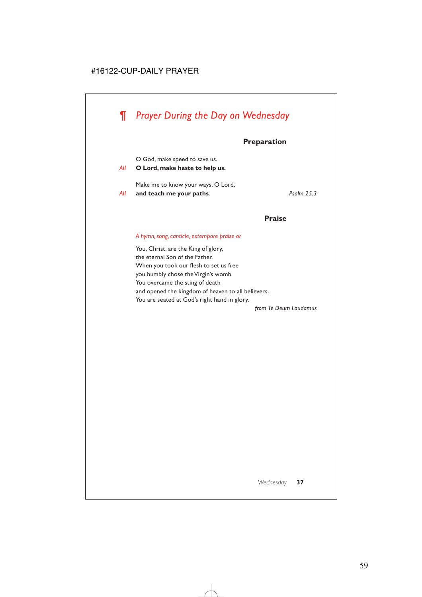## *¶ Prayer During the Day on Wednesday*

## **Preparation**

O God, make speed to save us.

#### *All* **O Lord, make haste to help us.**

Make me to know your ways, O Lord,

*All* **and teach me your paths**. *Psalm 25.3*

## **Praise**

#### *A hymn, song, canticle, extempore praise or*

You, Christ, are the King of glory, the eternal Son of the Father. When you took our flesh to set us free you humbly chose the Virgin's womb. You overcame the sting of death and opened the kingdom of heaven to all believers. You are seated at God's right hand in glory.

*from Te Deum Laudamus*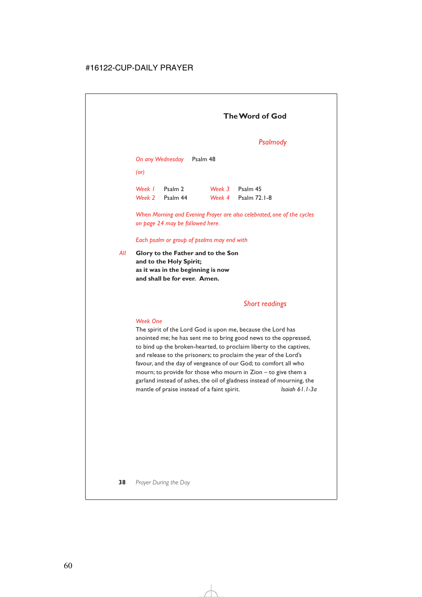## **The Word of God**

## *Psalmody*

**On any Wednesday** Psalm 48 *(or) Week 1* Psalm 2 *Week 3* Psalm 45 *Week 2* Psalm 44 *Week 4* Psalm 72.1-8

*When Morning and Evening Prayer are also celebrated, one of the cycles on page 24 may be followed here.*

*Each psalm or group of psalms may end with*

*All* **Glory to the Father and to the Son and to the Holy Spirit; as it was in the beginning is now and shall be for ever. Amen.**

## *Short readings*

#### *Week One*

The spirit of the Lord God is upon me, because the Lord has anointed me; he has sent me to bring good news to the oppressed, to bind up the broken-hearted, to proclaim liberty to the captives, and release to the prisoners; to proclaim the year of the Lord's favour, and the day of vengeance of our God; to comfort all who mourn; to provide for those who mourn in Zion – to give them a garland instead of ashes, the oil of gladness instead of mourning, the mantle of praise instead of a faint spirit. *Isaiah 61.1-3a*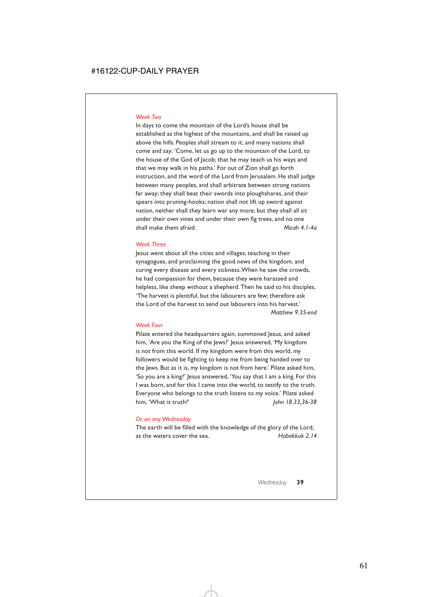#### *Week Two*

In days to come the mountain of the Lord's house shall be established as the highest of the mountains, and shall be raised up above the hills. Peoples shall stream to it, and many nations shall come and say: 'Come, let us go up to the mountain of the Lord, to the house of the God of Jacob; that he may teach us his ways and that we may walk in his paths.' For out of Zion shall go forth instruction, and the word of the Lord from Jerusalem. He shall judge between many peoples, and shall arbitrate between strong nations far away; they shall beat their swords into ploughshares, and their spears into pruning-hooks; nation shall not lift up sword against nation, neither shall they learn war any more; but they shall all sit under their own vines and under their own fig trees, and no one shall make them afraid. *Micah 4.1-4a*

#### *Week Three*

Jesus went about all the cities and villages, teaching in their synagogues, and proclaiming the good news of the kingdom, and curing every disease and every sickness.When he saw the crowds, he had compassion for them, because they were harassed and helpless, like sheep without a shepherd. Then he said to his disciples, 'The harvest is plentiful, but the labourers are few; therefore ask the Lord of the harvest to send out labourers into his harvest.' *Matthew 9.35-end*

#### *Week Four*

Pilate entered the headquarters again, summoned Jesus, and asked him, 'Are you the King of the Jews?' Jesus answered, 'My kingdom is not from this world. If my kingdom were from this world, my followers would be fighting to keep me from being handed over to the Jews. But as it is, my kingdom is not from here.' Pilate asked him, 'So you are a king?' Jesus answered, 'You say that I am a king. For this I was born, and for this I came into the world, to testify to the truth. Everyone who belongs to the truth listens to my voice.' Pilate asked him, 'What is truth?' *John 18.33,36-38*

#### *Or, on any Wednesday*

The earth will be filled with the knowledge of the glory of the Lord, as the waters cover the sea. *Habakkuk 2.14*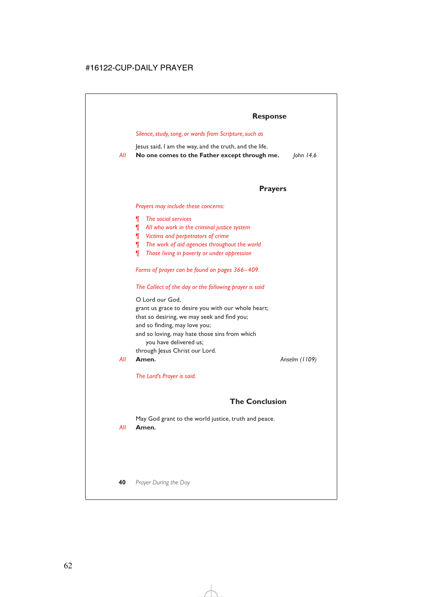## **Response**

#### *Silence, study, song, or words from Scripture, such as*

Jesus said, I am the way, and the truth, and the life.

*All* **No one comes to the Father except through me.** *John 14.6*

## **Prayers**

#### *Prayers may include these concerns:*

- ¶ *The social services*
- ¶ *All who work in the criminal justice system*
- ¶ *Victims and perpetrators of crime*
- ¶ *The work of aid agencies throughout the world*
- ¶ *Those living in poverty or under oppression*

*Forms of prayer can be found on pages 366–409.*

*The Collect of the day or the following prayer is said*

O Lord our God, grant us grace to desire you with our whole heart; that so desiring, we may seek and find you; and so finding, may love you; and so loving, may hate those sins from which you have delivered us; through Jesus Christ our Lord.

*All* **Amen.** *Anselm (1109)*

*The Lord's Prayer is said.*

## **The Conclusion**

May God grant to the world justice, truth and peace.

*All* **Amen.**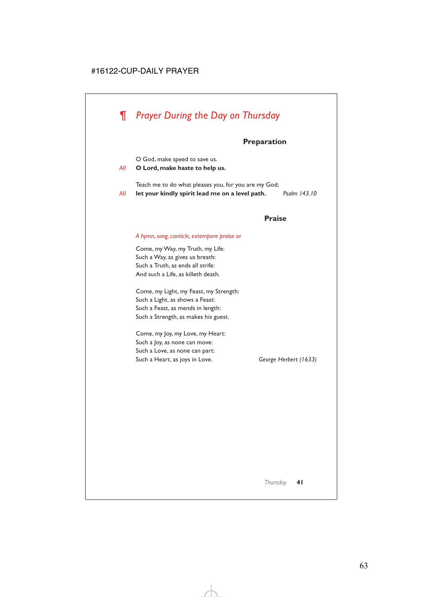## *¶ Prayer During the Day on Thursday*

## **Preparation**

O God, make speed to save us.

*All* **O Lord, make haste to help us.**

Teach me to do what pleases you, for you are my God; *All* **let your kindly spirit lead me on a level path.** *Psalm 143.10*

## **Praise**

#### *A hymn, song, canticle, extempore praise or*

Come, my Way, my Truth, my Life: Such a Way, as gives us breath: Such a Truth, as ends all strife: And such a Life, as killeth death.

Come, my Light, my Feast, my Strength: Such a Light, as shows a Feast: Such a Feast, as mends in length: Such a Strength, as makes his guest.

Come, my Joy, my Love, my Heart: Such a Joy, as none can move: Such a Love, as none can part: Such a Heart, as joys in Love. *George Herbert (1633)*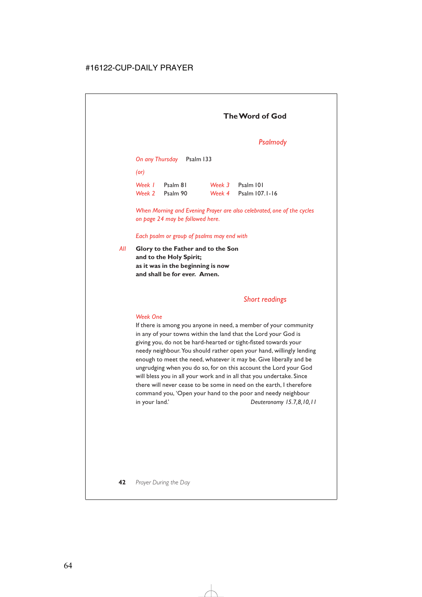## **The Word of God**

### *Psalmody*

*On any Thursday* Psalm 133 *(or) Week 1* Psalm 81 *Week 3* Psalm 101 *Week 2* Psalm 90 *Week 4* Psalm 107.1-16

*When Morning and Evening Prayer are also celebrated, one of the cycles on page 24 may be followed here.*

*Each psalm or group of psalms may end with*

*All* **Glory to the Father and to the Son and to the Holy Spirit; as it was in the beginning is now and shall be for ever. Amen.**

## *Short readings*

#### *Week One*

If there is among you anyone in need, a member of your community in any of your towns within the land that the Lord your God is giving you, do not be hard-hearted or tight-fisted towards your needy neighbour. You should rather open your hand, willingly lending enough to meet the need, whatever it may be. Give liberally and be ungrudging when you do so, for on this account the Lord your God will bless you in all your work and in all that you undertake. Since there will never cease to be some in need on the earth. I therefore command you, 'Open your hand to the poor and needy neighbour in your land.' *Deuteronomy 15.7,8,10,11*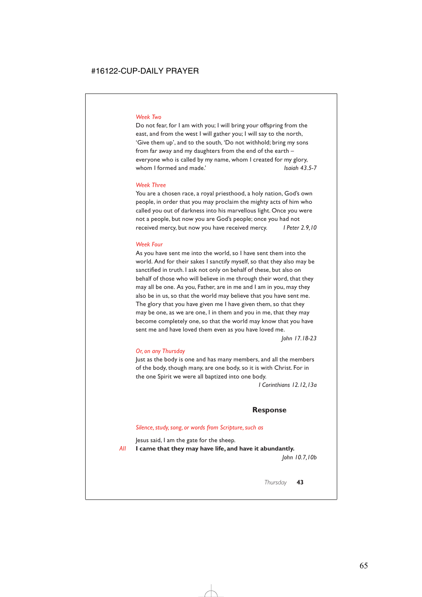#### *Week Two*

Do not fear, for I am with you; I will bring your offspring from the east, and from the west I will gather you; I will say to the north, 'Give them up', and to the south, 'Do not withhold; bring my sons from far away and my daughters from the end of the earth – everyone who is called by my name, whom I created for my glory, whom I formed and made.' *Isaiah 43.5-7*

#### *Week Three*

You are a chosen race, a royal priesthood, a holy nation, God's own people, in order that you may proclaim the mighty acts of him who called you out of darkness into his marvellous light. Once you were not a people, but now you are God's people; once you had not received mercy, but now you have received mercy. *I Peter 2.9,10*

#### *Week Four*

As you have sent me into the world, so I have sent them into the world. And for their sakes I sanctify myself, so that they also may be sanctified in truth. I ask not only on behalf of these, but also on behalf of those who will believe in me through their word, that they may all be one. As you, Father, are in me and I am in you, may they also be in us, so that the world may believe that you have sent me. The glory that you have given me I have given them, so that they may be one, as we are one, I in them and you in me, that they may become completely one, so that the world may know that you have sent me and have loved them even as you have loved me.

*John 17.18-23*

#### *Or, on any Thursday*

Just as the body is one and has many members, and all the members of the body, though many, are one body, so it is with Christ. For in the one Spirit we were all baptized into one body.

*I Corinthians 12.12,13a*

#### **Response**

#### *Silence, study, song, or words from Scripture, such as*

Jesus said, I am the gate for the sheep.

*All* **I came that they may have life, and have it abundantly.**

*John 10.7,10b*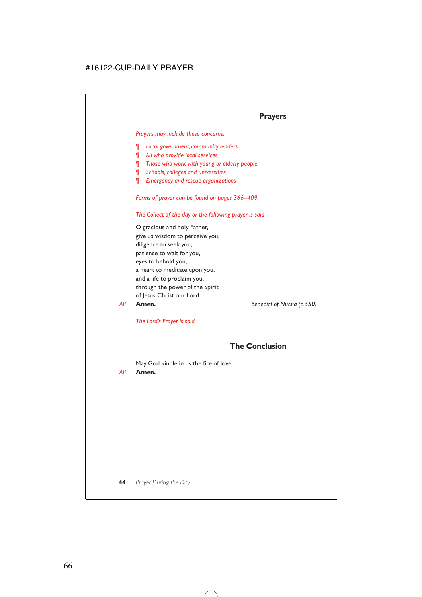## **Prayers**

*Prayers may include these concerns:*

- ¶ *Local government, community leaders*
- ¶ *All who provide local services*
- ¶ *Those who work with young or elderly people*
- ¶ *Schools, colleges and universities*
- ¶ *Emergency and rescue organizations*

*Forms of prayer can be found on pages 366–409.*

*The Collect of the day or the following prayer is said* 

O gracious and holy Father, give us wisdom to perceive you, diligence to seek you, patience to wait for you, eyes to behold you, a heart to meditate upon you, and a life to proclaim you, through the power of the Spirit of Jesus Christ our Lord.

*All* **Amen.** *Benedict of Nursia (c.550)* 

*The Lord's Prayer is said.*

## **The Conclusion**

May God kindle in us the fire of love.

#### *All* **Amen.**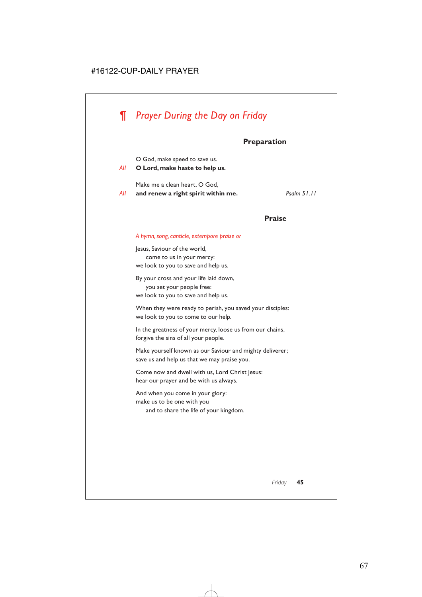## *¶ Prayer During the Day on Friday*

### **Preparation**

O God, make speed to save us.

#### *All* **O Lord, make haste to help us.**

Make me a clean heart, O God,

*All* **and renew a right spirit within me.** *Psalm 51.11*

## **Praise**

#### *A hymn, song, canticle, extempore praise or*

Jesus, Saviour of the world, come to us in your mercy: we look to you to save and help us.

By your cross and your life laid down, you set your people free: we look to you to save and help us.

When they were ready to perish, you saved your disciples: we look to you to come to our help.

In the greatness of your mercy, loose us from our chains, forgive the sins of all your people.

Make yourself known as our Saviour and mighty deliverer; save us and help us that we may praise you.

Come now and dwell with us, Lord Christ Jesus: hear our prayer and be with us always.

And when you come in your glory: make us to be one with you and to share the life of your kingdom.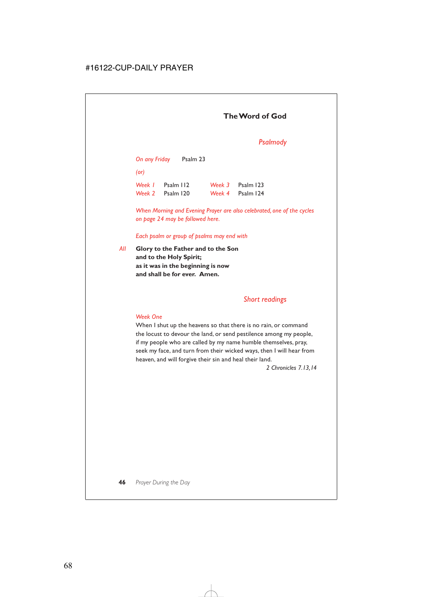## **The Word of God**

## *Psalmody*

*On any Friday* Psalm 23 *(or) Week 1* Psalm 112 *Week 3* Psalm 123 *Week 2* Psalm 120 *Week 4* Psalm 124

*When Morning and Evening Prayer are also celebrated, one of the cycles on page 24 may be followed here.*

*Each psalm or group of psalms may end with*

*All* **Glory to the Father and to the Son and to the Holy Spirit; as it was in the beginning is now and shall be for ever. Amen.**

## *Short readings*

#### *Week One*

When I shut up the heavens so that there is no rain, or command the locust to devour the land, or send pestilence among my people, if my people who are called by my name humble themselves, pray, seek my face, and turn from their wicked ways, then I will hear from heaven, and will forgive their sin and heal their land.

*2 Chronicles 7.13,14*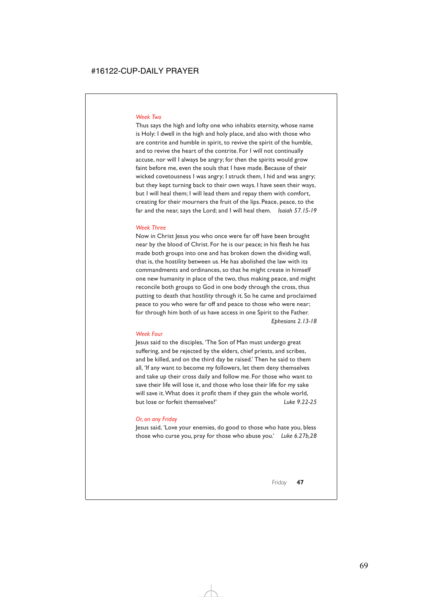#### *Week Two*

Thus says the high and lofty one who inhabits eternity, whose name is Holy: I dwell in the high and holy place, and also with those who are contrite and humble in spirit, to revive the spirit of the humble, and to revive the heart of the contrite. For I will not continually accuse, nor will I always be angry; for then the spirits would grow faint before me, even the souls that I have made. Because of their wicked covetousness I was angry; I struck them, I hid and was angry; but they kept turning back to their own ways. I have seen their ways, but I will heal them; I will lead them and repay them with comfort, creating for their mourners the fruit of the lips. Peace, peace, to the far and the near, says the Lord; and I will heal them. *Isaiah 57.15-19*

#### *Week Three*

Now in Christ Jesus you who once were far off have been brought near by the blood of Christ. For he is our peace; in his flesh he has made both groups into one and has broken down the dividing wall, that is, the hostility between us. He has abolished the law with its commandments and ordinances, so that he might create in himself one new humanity in place of the two, thus making peace, and might reconcile both groups to God in one body through the cross, thus putting to death that hostility through it. So he came and proclaimed peace to you who were far off and peace to those who were near; for through him both of us have access in one Spirit to the Father. *Ephesians 2.13-18*

#### *Week Four*

Jesus said to the disciples, 'The Son of Man must undergo great suffering, and be rejected by the elders, chief priests, and scribes, and be killed, and on the third day be raised.' Then he said to them all, 'If any want to become my followers, let them deny themselves and take up their cross daily and follow me. For those who want to save their life will lose it, and those who lose their life for my sake will save it.What does it profit them if they gain the whole world, but lose or forfeit themselves?' *Luke 9.22-25*

#### *Or, on any Friday*

Jesus said, 'Love your enemies, do good to those who hate you, bless those who curse you, pray for those who abuse you.' *Luke 6.27b,28*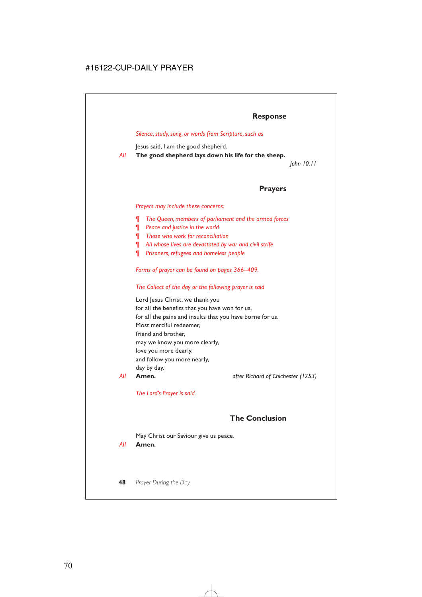## **Response**

#### *Silence, study, song, or words from Scripture, such as*

Jesus said, I am the good shepherd.

*All* **The good shepherd lays down his life for the sheep.**

*John 10.11*

## **Prayers**

#### *Prayers may include these concerns:*

- ¶ *The Queen, members of parliament and the armed forces*
- ¶ *Peace and justice in the world*
- ¶ *Those who work for reconciliation*
- ¶ *All whose lives are devastated by war and civil strife*
- ¶ *Prisoners, refugees and homeless people*

*Forms of prayer can be found on pages 366–409.*

*The Collect of the day or the following prayer is said*

Lord Jesus Christ, we thank you for all the benefits that you have won for us, for all the pains and insults that you have borne for us. Most merciful redeemer, friend and brother may we know you more clearly, love you more dearly, and follow you more nearly, day by day.

*All* **Amen.** *after Richard of Chichester (1253)*

*The Lord's Prayer is said.*

## **The Conclusion**

May Christ our Saviour give us peace.

*All* **Amen.**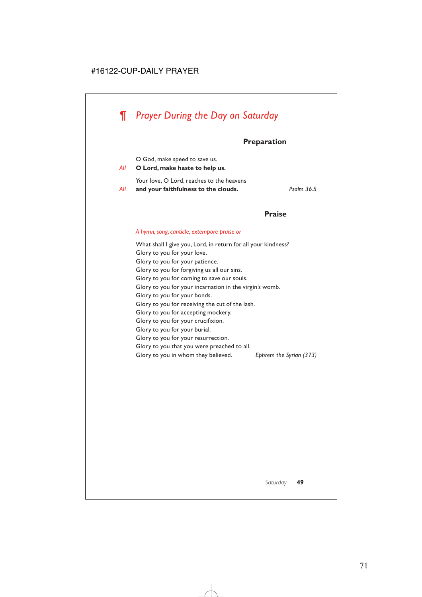## *¶ Prayer During the Day on Saturday*

## **Preparation**

O God, make speed to save us.

#### *All* **O Lord, make haste to help us.**

Your love, O Lord, reaches to the heavens

*All* **and your faithfulness to the clouds.** *Psalm 36.5*

## **Praise**

#### *A hymn, song, canticle, extempore praise or*

What shall I give you, Lord, in return for all your kindness? Glory to you for your love. Glory to you for your patience. Glory to you for forgiving us all our sins. Glory to you for coming to save our souls. Glory to you for your incarnation in the virgin's womb. Glory to you for your bonds. Glory to you for receiving the cut of the lash. Glory to you for accepting mockery. Glory to you for your crucifixion. Glory to you for your burial. Glory to you for your resurrection. Glory to you that you were preached to all. Glory to you in whom they believed. *Ephrem the Syrian (373)*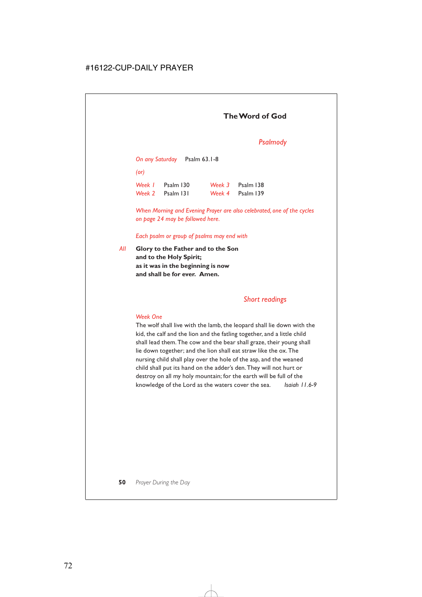## **The Word of God**

## *Psalmody*

*On any Saturday* Psalm 63.1-8 *(or) Week 1* Psalm 130 *Week 3* Psalm 138 *Week 2* Psalm 131 *Week 4* Psalm 139

*When Morning and Evening Prayer are also celebrated, one of the cycles on page 24 may be followed here.*

*Each psalm or group of psalms may end with*

*All* **Glory to the Father and to the Son and to the Holy Spirit; as it was in the beginning is now and shall be for ever. Amen.**

## *Short readings*

#### *Week One*

The wolf shall live with the lamb, the leopard shall lie down with the kid, the calf and the lion and the fatling together, and a little child shall lead them. The cow and the bear shall graze, their young shall lie down together; and the lion shall eat straw like the ox. The nursing child shall play over the hole of the asp, and the weaned child shall put its hand on the adder's den. They will not hurt or destroy on all my holy mountain; for the earth will be full of the knowledge of the Lord as the waters cover the sea. *Isaiah 11.6-9*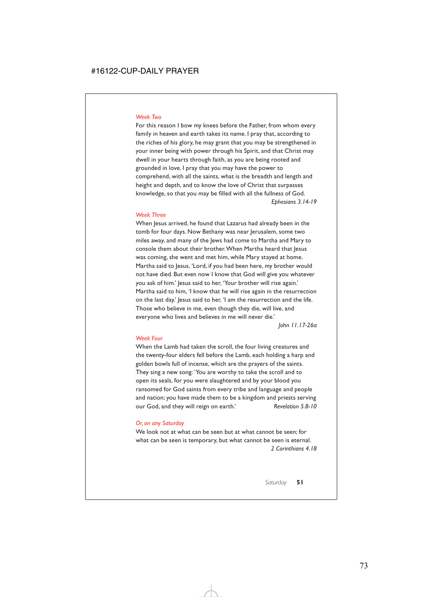#### *Week Two*

For this reason I bow my knees before the Father, from whom every family in heaven and earth takes its name. I pray that, according to the riches of his glory, he may grant that you may be strengthened in your inner being with power through his Spirit, and that Christ may dwell in your hearts through faith, as you are being rooted and grounded in love. I pray that you may have the power to comprehend, with all the saints, what is the breadth and length and height and depth, and to know the love of Christ that surpasses knowledge, so that you may be filled with all the fullness of God. *Ephesians 3.14-19*

#### *Week Three*

When Jesus arrived, he found that Lazarus had already been in the tomb for four days. Now Bethany was near Jerusalem, some two miles away, and many of the Jews had come to Martha and Mary to console them about their brother.When Martha heard that Jesus was coming, she went and met him, while Mary stayed at home. Martha said to Jesus, 'Lord, if you had been here, my brother would not have died. But even now I know that God will give you whatever you ask of him.' Jesus said to her, 'Your brother will rise again.' Martha said to him, 'I know that he will rise again in the resurrection on the last day.' Jesus said to her, 'I am the resurrection and the life. Those who believe in me, even though they die, will live, and everyone who lives and believes in me will never die.'

*John 11.17-26a*

#### *Week Four*

When the Lamb had taken the scroll, the four living creatures and the twenty-four elders fell before the Lamb, each holding a harp and golden bowls full of incense, which are the prayers of the saints. They sing a new song: 'You are worthy to take the scroll and to open its seals, for you were slaughtered and by your blood you ransomed for God saints from every tribe and language and people and nation; you have made them to be a kingdom and priests serving our God, and they will reign on earth.' *Revelation 5.8-10*

#### *Or, on any Saturday*

We look not at what can be seen but at what cannot be seen; for what can be seen is temporary, but what cannot be seen is eternal. *2 Corinthians 4.18*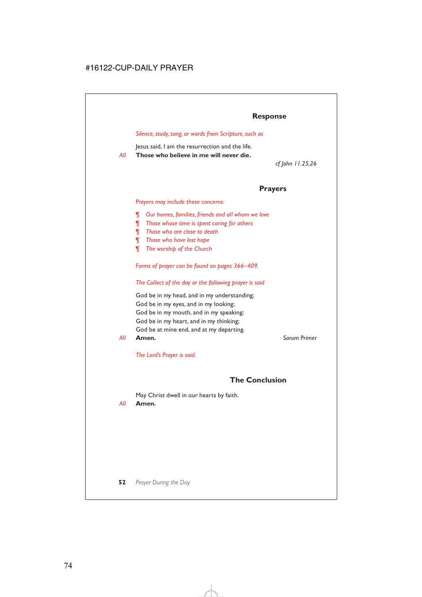## **Response**

#### *Silence, study, song, or words from Scripture, such as*

Jesus said, I am the resurrection and the life.

*All* **Those who believe in me will never die.**

*cf John 11.25,26*

## **Prayers**

*Prayers may include these concerns:*

- ¶ *Our homes, families, friends and all whom we love*
- ¶ *Those whose time is spent caring for others*
- ¶ *Those who are close to death*
- ¶ *Those who have lost hope*
- ¶ *The worship of the Church*

*Forms of prayer can be found on pages 366–409.*

*The Collect of the day or the following prayer is said*

God be in my head, and in my understanding; God be in my eyes, and in my looking; God be in my mouth, and in my speaking; God be in my heart, and in my thinking; God be at mine end, and at my departing. *All* **Amen.** *Sarum Primer*

*The Lord's Prayer is said.*

## **The Conclusion**

May Christ dwell in our hearts by faith.

*All* **Amen.**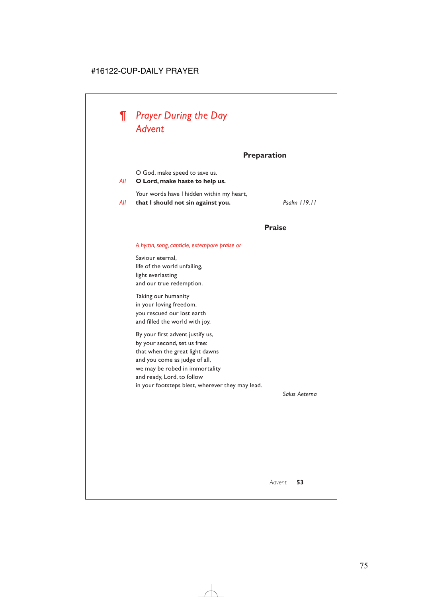

## **Preparation**

O God, make speed to save us.

#### *All* **O Lord, make haste to help us.**

Your words have I hidden within my heart,

*All* **that I should not sin against you.** *Psalm 119.11*

## **Praise**

#### *A hymn, song, canticle, extempore praise or*

Saviour eternal, life of the world unfailing, light everlasting and our true redemption.

Taking our humanity in your loving freedom, you rescued our lost earth and filled the world with joy.

By your first advent justify us, by your second, set us free: that when the great light dawns and you come as judge of all, we may be robed in immortality and ready, Lord, to follow in your footsteps blest, wherever they may lead.

*Salus Aeterna*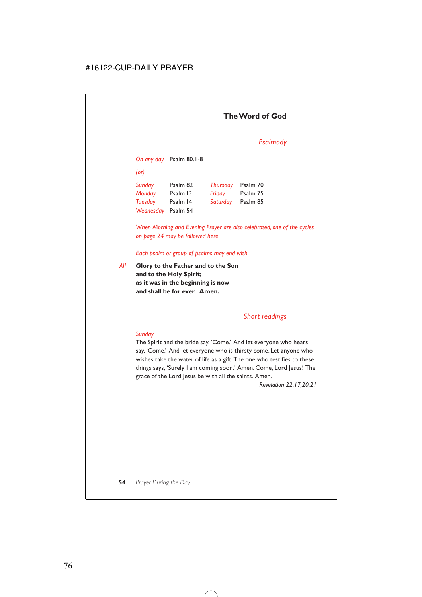## **The Word of God**

## *Psalmody*

*On any day* Psalm 80.1-8

*(or)*

| Sunday         | Psalm 82 | <b>Thursday</b> | Psalm 70 |
|----------------|----------|-----------------|----------|
| <b>Monday</b>  | Psalm 13 | Friday          | Psalm 75 |
| <b>Tuesday</b> | Psalm 14 | Saturday        | Psalm 85 |
| Wednesday      | Psalm 54 |                 |          |

*When Morning and Evening Prayer are also celebrated, one of the cycles on page 24 may be followed here.*

*Each psalm or group of psalms may end with* 

*All* **Glory to the Father and to the Son and to the Holy Spirit; as it was in the beginning is now and shall be for ever. Amen.**

## *Short readings*

#### *Sunday*

The Spirit and the bride say, 'Come.' And let everyone who hears say, 'Come.' And let everyone who is thirsty come. Let anyone who wishes take the water of life as a gift. The one who testifies to these things says, 'Surely I am coming soon.' Amen. Come, Lord Jesus! The grace of the Lord Jesus be with all the saints. Amen.

*Revelation 22.17,20,21*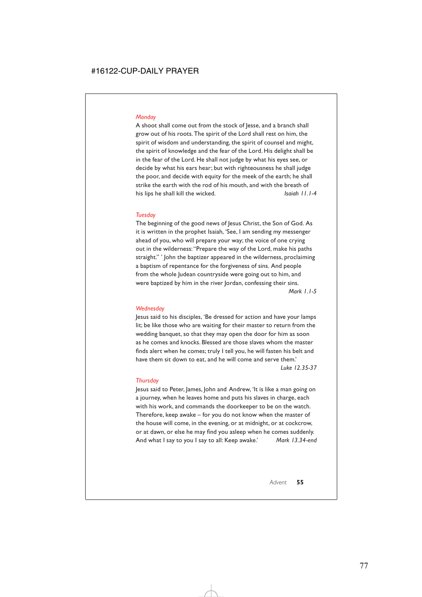#### *Monday*

A shoot shall come out from the stock of Jesse, and a branch shall grow out of his roots. The spirit of the Lord shall rest on him, the spirit of wisdom and understanding, the spirit of counsel and might, the spirit of knowledge and the fear of the Lord. His delight shall be in the fear of the Lord. He shall not judge by what his eyes see, or decide by what his ears hear; but with righteousness he shall judge the poor, and decide with equity for the meek of the earth; he shall strike the earth with the rod of his mouth, and with the breath of his lips he shall kill the wicked. **In the set of the set of the set of the set of the set of the set of the set of the set of the set of the set of the set of the set of the set of the set of the set of the set of the set** 

#### *Tuesday*

The beginning of the good news of Jesus Christ, the Son of God. As it is written in the prophet Isaiah, 'See, I am sending my messenger ahead of you, who will prepare your way; the voice of one crying out in the wilderness:"Prepare the way of the Lord, make his paths straight." ' John the baptizer appeared in the wilderness, proclaiming a baptism of repentance for the forgiveness of sins. And people from the whole Judean countryside were going out to him, and were baptized by him in the river Jordan, confessing their sins. *Mark 1.1-5*

#### *Wednesday*

Jesus said to his disciples, 'Be dressed for action and have your lamps lit; be like those who are waiting for their master to return from the wedding banquet, so that they may open the door for him as soon as he comes and knocks. Blessed are those slaves whom the master finds alert when he comes; truly I tell you, he will fasten his belt and have them sit down to eat, and he will come and serve them.'

*Luke 12.35-37*

#### *Thursday*

Jesus said to Peter, James, John and Andrew, 'It is like a man going on a journey, when he leaves home and puts his slaves in charge, each with his work, and commands the doorkeeper to be on the watch. Therefore, keep awake – for you do not know when the master of the house will come, in the evening, or at midnight, or at cockcrow, or at dawn, or else he may find you asleep when he comes suddenly. And what I say to you I say to all: Keep awake.' *Mark 13.34-end*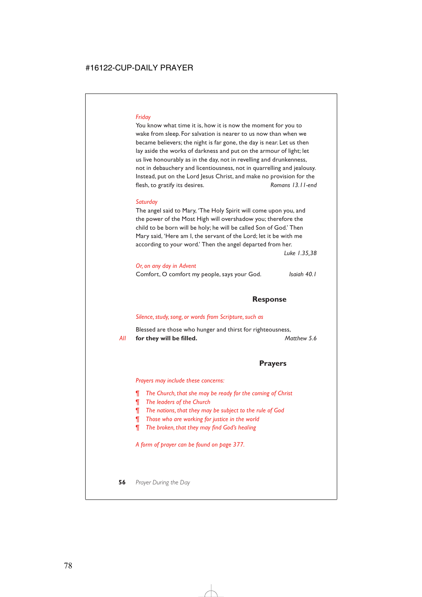#### *Friday*

You know what time it is, how it is now the moment for you to wake from sleep. For salvation is nearer to us now than when we became believers; the night is far gone, the day is near. Let us then lay aside the works of darkness and put on the armour of light; let us live honourably as in the day, not in revelling and drunkenness, not in debauchery and licentiousness, not in quarrelling and jealousy. Instead, put on the Lord Jesus Christ, and make no provision for the flesh, to gratify its desires. *Romans 13.11-end*

#### *Saturday*

The angel said to Mary, 'The Holy Spirit will come upon you, and the power of the Most High will overshadow you; therefore the child to be born will be holy; he will be called Son of God.' Then Mary said, 'Here am I, the servant of the Lord; let it be with me according to your word.' Then the angel departed from her.

*Luke 1.35,38*

#### *Or, on any day in Advent*

Comfort, O comfort my people, says your God. *Isaiah 40.1*

### **Response**

#### *Silence, study, song, or words from Scripture, such as*

Blessed are those who hunger and thirst for righteousness, *All* **for they will be filled.** *Matthew 5.6*

#### **Prayers**

#### *Prayers may include these concerns:*

- ¶ *The Church, that she may be ready for the coming of Christ*
- ¶ *The leaders of the Church*
- ¶ *The nations, that they may be subject to the rule of God*
- ¶ *Those who are working for justice in the world*
- ¶ *The broken, that they may find God's healing*

*A form of prayer can be found on page 377.*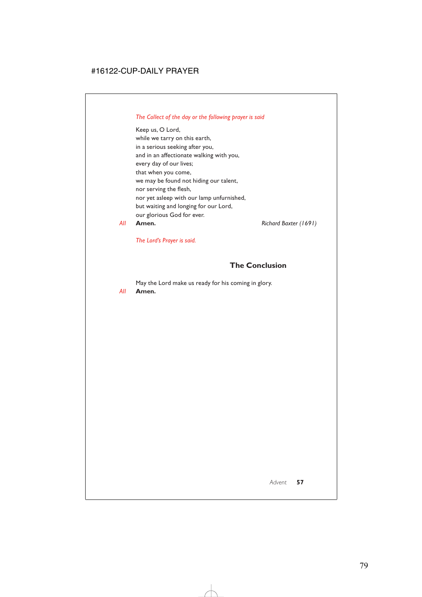### *The Collect of the day or the following prayer is said*

Keep us, O Lord, while we tarry on this earth, in a serious seeking after you, and in an affectionate walking with you, every day of our lives; that when you come, we may be found not hiding our talent, nor serving the flesh, nor yet asleep with our lamp unfurnished, but waiting and longing for our Lord, our glorious God for ever.

*All* **Amen.** *Richard Baxter (1691)*

*The Lord's Prayer is said.*

## **The Conclusion**

May the Lord make us ready for his coming in glory.

#### *All* **Amen.**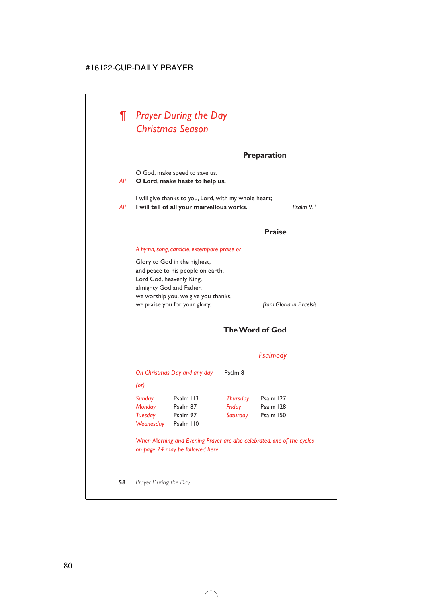# *¶ Prayer During the Day Christmas Season*

## **Preparation**

O God, make speed to save us.

#### *All* **O Lord, make haste to help us.**

I will give thanks to you, Lord, with my whole heart;

*All* **I will tell of all your marvellous works.** *Psalm 9.1*

## **Praise**

#### *A hymn, song, canticle, extempore praise or*

Glory to God in the highest, and peace to his people on earth. Lord God, heavenly King, almighty God and Father, we worship you, we give you thanks, we praise you for your glory. *from Gloria in Excelsis*

## **The Word of God**

## *Psalmody*

*On Christmas Day and any day* Psalm 8

*(or)*

*Sunday* Psalm 113 *Monday* Psalm 87 *Tuesday* Psalm 97 *Wednesday* Psalm 110

| <b>Thursday</b> | Psalm 127 |
|-----------------|-----------|
| Friday          | Psalm 128 |
| Saturday        | Psalm 150 |

*When Morning and Evening Prayer are also celebrated, one of the cycles on page 24 may be followed here.*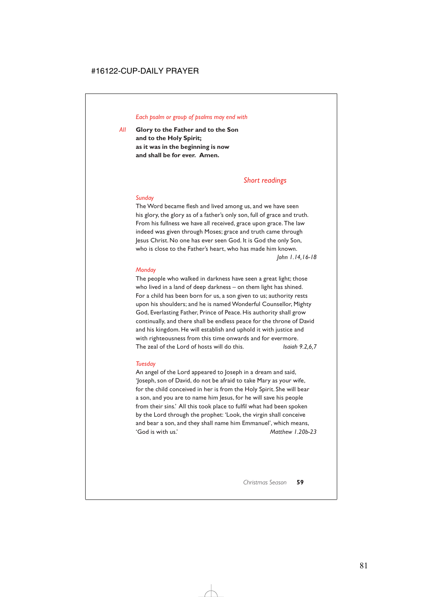#### *Each psalm or group of psalms may end with*

*All* **Glory to the Father and to the Son and to the Holy Spirit; as it was in the beginning is now and shall be for ever. Amen.**

#### *Short readings*

#### *Sunday*

The Word became flesh and lived among us, and we have seen his glory, the glory as of a father's only son, full of grace and truth. From his fullness we have all received, grace upon grace. The law indeed was given through Moses; grace and truth came through Jesus Christ. No one has ever seen God. It is God the only Son, who is close to the Father's heart, who has made him known.

*John 1.14,16-18*

#### *Monday*

The people who walked in darkness have seen a great light; those who lived in a land of deep darkness – on them light has shined. For a child has been born for us, a son given to us; authority rests upon his shoulders; and he is named Wonderful Counsellor, Mighty God, Everlasting Father, Prince of Peace. His authority shall grow continually, and there shall be endless peace for the throne of David and his kingdom. He will establish and uphold it with justice and with righteousness from this time onwards and for evermore. The zeal of the Lord of hosts will do this. *Isaiah 9.2,6,7*

#### *Tuesday*

An angel of the Lord appeared to Joseph in a dream and said, 'Joseph, son of David, do not be afraid to take Mary as your wife, for the child conceived in her is from the Holy Spirit. She will bear a son, and you are to name him Jesus, for he will save his people from their sins.' All this took place to fulfil what had been spoken by the Lord through the prophet: 'Look, the virgin shall conceive and bear a son, and they shall name him Emmanuel', which means, 'God is with us.' *Matthew 1.20b-23*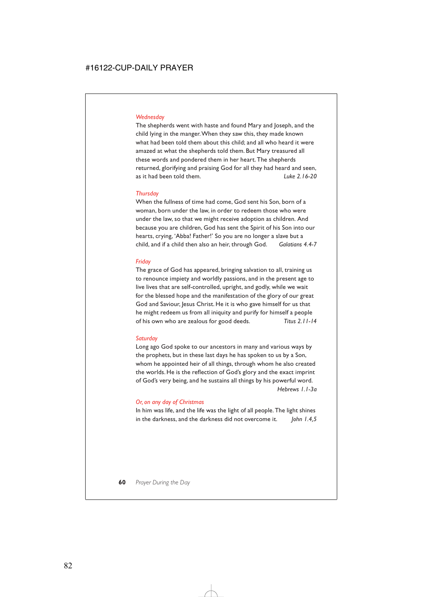#### *Wednesday*

The shepherds went with haste and found Mary and Joseph, and the child lying in the manger.When they saw this, they made known what had been told them about this child; and all who heard it were amazed at what the shepherds told them. But Mary treasured all these words and pondered them in her heart. The shepherds returned, glorifying and praising God for all they had heard and seen, as it had been told them. *Luke 2.16-20*

#### *Thursday*

When the fullness of time had come, God sent his Son, born of a woman, born under the law, in order to redeem those who were under the law, so that we might receive adoption as children. And because you are children, God has sent the Spirit of his Son into our hearts, crying, 'Abba! Father!' So you are no longer a slave but a child, and if a child then also an heir, through God. *Galatians 4.4-7*

#### *Friday*

The grace of God has appeared, bringing salvation to all, training us to renounce impiety and worldly passions, and in the present age to live lives that are self-controlled, upright, and godly, while we wait for the blessed hope and the manifestation of the glory of our great God and Saviour, Jesus Christ. He it is who gave himself for us that he might redeem us from all iniquity and purify for himself a people of his own who are zealous for good deeds. *Titus 2.11-14*

#### *Saturday*

Long ago God spoke to our ancestors in many and various ways by the prophets, but in these last days he has spoken to us by a Son, whom he appointed heir of all things, through whom he also created the worlds. He is the reflection of God's glory and the exact imprint of God's very being, and he sustains all things by his powerful word. *Hebrews 1.1-3a*

#### *Or, on any day of Christmas*

In him was life, and the life was the light of all people. The light shines in the darkness, and the darkness did not overcome it. *John 1.4,5*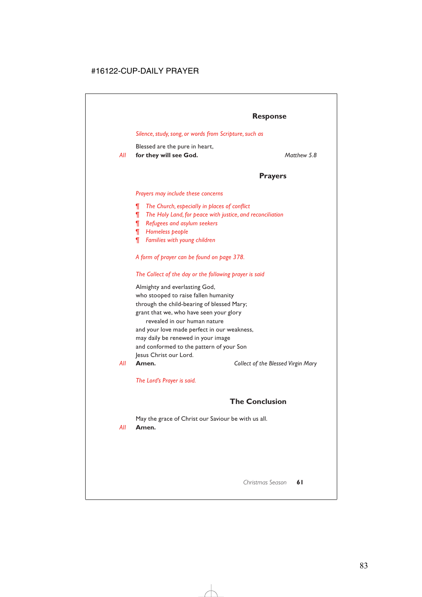## **Response**

#### *Silence, study, song, or words from Scripture, such as*

Blessed are the pure in heart,

*All* **for they will see God.** *Matthew 5.8*

### **Prayers**

#### *Prayers may include these concerns*

- ¶ *The Church, especially in places of conflict*
- ¶ *The Holy Land, for peace with justice, and reconciliation*
- ¶ *Refugees and asylum seekers*
- ¶ *Homeless people*
- ¶ *Families with young children*

#### *A form of prayer can be found on page 378.*

#### *The Collect of the day or the following prayer is said*

Almighty and everlasting God, who stooped to raise fallen humanity through the child-bearing of blessed Mary; grant that we, who have seen your glory revealed in our human nature and your love made perfect in our weakness, may daily be renewed in your image and conformed to the pattern of your Son Jesus Christ our Lord.

*All* **Amen.** *Collect of the Blessed Virgin Mary*

*The Lord's Prayer is said.*

## **The Conclusion**

May the grace of Christ our Saviour be with us all.

*All* **Amen.**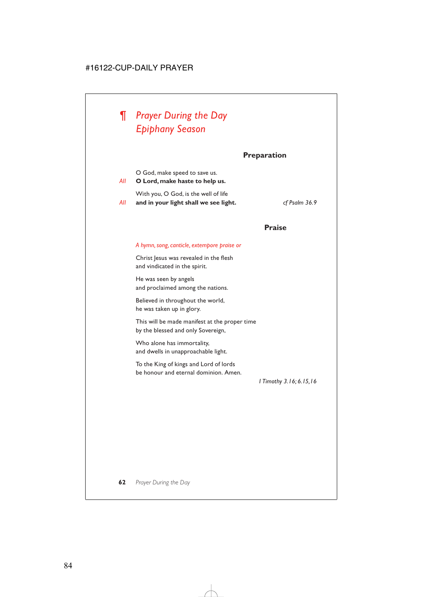# *¶ Prayer During the Day Epiphany Season*

## **Preparation**

O God, make speed to save us. *All* **O Lord, make haste to help us.** With you, O God, is the well of life *All* **and in your light shall we see light.** *cf Psalm 36.9*

## **Praise**

#### *A hymn, song, canticle, extempore praise or*

Christ Jesus was revealed in the flesh and vindicated in the spirit.

He was seen by angels and proclaimed among the nations.

Believed in throughout the world, he was taken up in glory.

This will be made manifest at the proper time by the blessed and only Sovereign,

Who alone has immortality, and dwells in unapproachable light.

To the King of kings and Lord of lords be honour and eternal dominion. Amen.

*I Timothy 3.16; 6.15,16*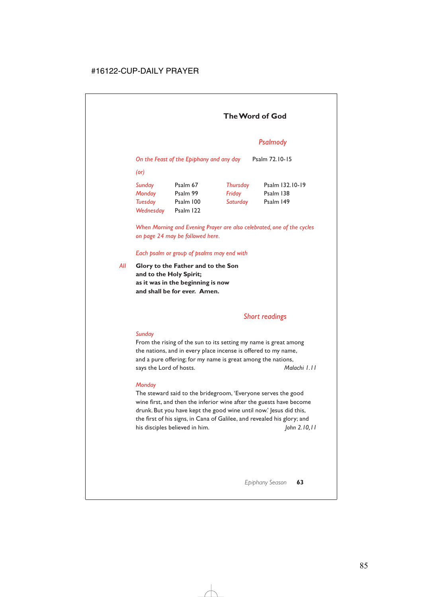## **The Word of God**

## *Psalmody*

*On the Feast of the Epiphany and any day* Psalm 72.10-15

*(or)*

| Psalm 67  | <b>Thursday</b> | Psalm 132.10-19 |
|-----------|-----------------|-----------------|
| Psalm 99  | Friday          | Psalm 138       |
| Psalm 100 | Saturday        | Psalm 149       |
| Psalm 122 |                 |                 |
|           |                 |                 |

*When Morning and Evening Prayer are also celebrated, one of the cycles on page 24 may be followed here.*

*Each psalm or group of psalms may end with* 

*All* **Glory to the Father and to the Son and to the Holy Spirit; as it was in the beginning is now and shall be for ever. Amen.**

## *Short readings*

#### *Sunday*

From the rising of the sun to its setting my name is great among the nations, and in every place incense is offered to my name, and a pure offering; for my name is great among the nations, says the Lord of hosts. *Malachi 1.11*

#### *Monday*

The steward said to the bridegroom, 'Everyone serves the good wine first, and then the inferior wine after the guests have become drunk. But you have kept the good wine until now.' Jesus did this, the first of his signs, in Cana of Galilee, and revealed his glory; and his disciples believed in him. *John 2.10,11*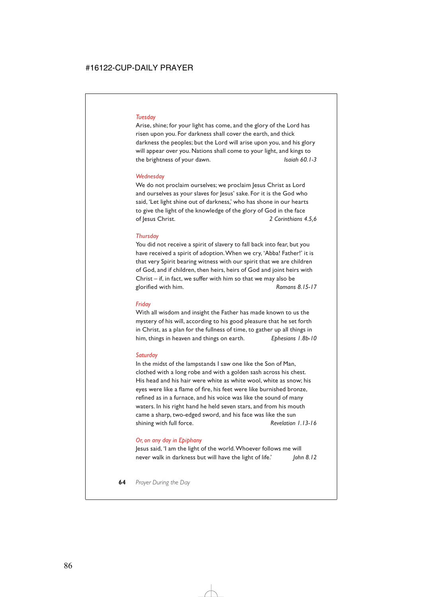#### *Tuesday*

Arise, shine; for your light has come, and the glory of the Lord has risen upon you. For darkness shall cover the earth, and thick darkness the peoples; but the Lord will arise upon you, and his glory will appear over you. Nations shall come to your light, and kings to the brightness of your dawn. *Isaiah 60.1-3*

#### *Wednesday*

We do not proclaim ourselves; we proclaim Jesus Christ as Lord and ourselves as your slaves for Jesus' sake. For it is the God who said, 'Let light shine out of darkness,' who has shone in our hearts to give the light of the knowledge of the glory of God in the face of Jesus Christ. *2 Corinthians 4.5,6*

#### *Thursday*

You did not receive a spirit of slavery to fall back into fear, but you have received a spirit of adoption. When we cry, 'Abba! Father!' it is that very Spirit bearing witness with our spirit that we are children of God, and if children, then heirs, heirs of God and joint heirs with Christ – if, in fact, we suffer with him so that we may also be glorified with him. *Romans 8.15-17*

#### *Friday*

With all wisdom and insight the Father has made known to us the mystery of his will, according to his good pleasure that he set forth in Christ, as a plan for the fullness of time, to gather up all things in him, things in heaven and things on earth. *Ephesians 1.8b-10*

#### *Saturday*

In the midst of the lampstands I saw one like the Son of Man, clothed with a long robe and with a golden sash across his chest. His head and his hair were white as white wool, white as snow; his eyes were like a flame of fire, his feet were like burnished bronze, refined as in a furnace, and his voice was like the sound of many waters. In his right hand he held seven stars, and from his mouth came a sharp, two-edged sword, and his face was like the sun shining with full force. *Revelation 1.13-16* 

#### *Or, on any day in Epiphany*

Jesus said, 'I am the light of the world.Whoever follows me will never walk in darkness but will have the light of life.' *John 8.12*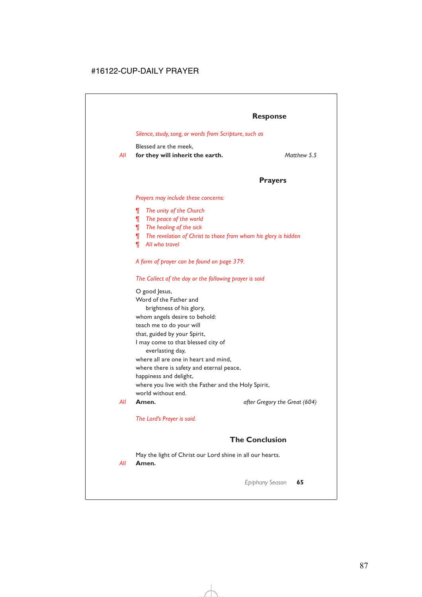## **Response**

*Silence, study, song, or words from Scripture, such as*

Blessed are the meek,

*All* **for they will inherit the earth.** *Matthew 5.5*

**Prayers**

#### *Prayers may include these concerns:*

- ¶ *The unity of the Church*
- ¶ *The peace of the world*
- ¶ *The healing of the sick*
- ¶ *The revelation of Christ to those from whom his glory is hidden*
- ¶ *All who travel*

#### *A form of prayer can be found on page 379.*

#### *The Collect of the day or the following prayer is said*

O good Jesus, Word of the Father and brightness of his glory, whom angels desire to behold: teach me to do your will that, guided by your Spirit, I may come to that blessed city of everlasting day, where all are one in heart and mind, where there is safety and eternal peace, happiness and delight, where you live with the Father and the Holy Spirit, world without end. *All* **Amen.** *after Gregory the Great (604)*

#### *The Lord's Prayer is said.*

## **The Conclusion**

May the light of Christ our Lord shine in all our hearts.

*All* **Amen.**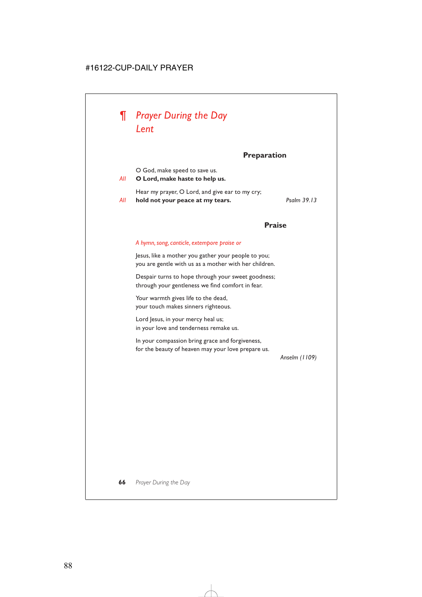# *¶ Prayer During the Day Lent*

## **Preparation**

O God, make speed to save us. *All* **O Lord, make haste to help us.** Hear my prayer, O Lord, and give ear to my cry; *All* **hold not your peace at my tears.** *Psalm 39.13*

## **Praise**

#### *A hymn, song, canticle, extempore praise or*

Jesus, like a mother you gather your people to you; you are gentle with us as a mother with her children.

Despair turns to hope through your sweet goodness; through your gentleness we find comfort in fear.

Your warmth gives life to the dead, your touch makes sinners righteous.

Lord Jesus, in your mercy heal us; in your love and tenderness remake us.

In your compassion bring grace and forgiveness, for the beauty of heaven may your love prepare us.

*Anselm (1109)*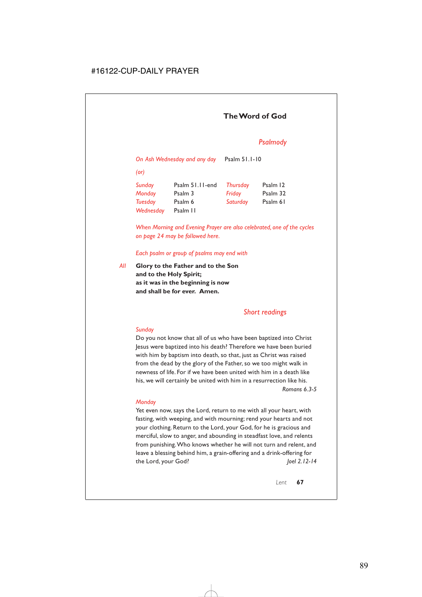## **The Word of God**

## *Psalmody*

| On Ash Wednesday and any day |                 | Psalm 51.1-10   |          |
|------------------------------|-----------------|-----------------|----------|
| (or)                         |                 |                 |          |
| <b>Sunday</b>                | Psalm 51.11-end | <b>Thursday</b> | Psalm 12 |
| <b>Monday</b>                | Psalm 3         | Friday          | Psalm 32 |
| <b>Tuesday</b>               | Psalm 6         | Saturday        | Psalm 61 |
| Wednesday                    | Psalm II        |                 |          |

*When Morning and Evening Prayer are also celebrated, one of the cycles on page 24 may be followed here.*

*Each psalm or group of psalms may end with* 

*All* **Glory to the Father and to the Son and to the Holy Spirit; as it was in the beginning is now and shall be for ever. Amen.**

## *Short readings*

#### *Sunday*

Do you not know that all of us who have been baptized into Christ Jesus were baptized into his death? Therefore we have been buried with him by baptism into death, so that, just as Christ was raised from the dead by the glory of the Father, so we too might walk in newness of life. For if we have been united with him in a death like his, we will certainly be united with him in a resurrection like his.

*Romans 6.3-5*

#### *Monday*

Yet even now, says the Lord, return to me with all your heart, with fasting, with weeping, and with mourning; rend your hearts and not your clothing. Return to the Lord, your God, for he is gracious and merciful, slow to anger, and abounding in steadfast love, and relents from punishing.Who knows whether he will not turn and relent, and leave a blessing behind him, a grain-offering and a drink-offering for the Lord, your God? *Joel 2.12-14*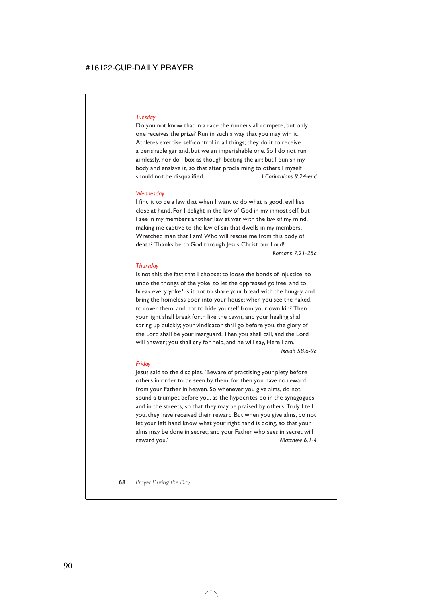#### *Tuesday*

Do you not know that in a race the runners all compete, but only one receives the prize? Run in such a way that you may win it. Athletes exercise self-control in all things; they do it to receive a perishable garland, but we an imperishable one. So I do not run aimlessly, nor do I box as though beating the air; but I punish my body and enslave it, so that after proclaiming to others I myself should not be disqualified. *I Corinthians 9.24-end*

#### *Wednesday*

I find it to be a law that when I want to do what is good, evil lies close at hand. For I delight in the law of God in my inmost self, but I see in my members another law at war with the law of my mind, making me captive to the law of sin that dwells in my members. Wretched man that I am! Who will rescue me from this body of death? Thanks be to God through Jesus Christ our Lord! *Romans 7.21-25a*

#### *Thursday*

Is not this the fast that I choose: to loose the bonds of injustice, to undo the thongs of the yoke, to let the oppressed go free, and to break every yoke? Is it not to share your bread with the hungry, and bring the homeless poor into your house; when you see the naked, to cover them, and not to hide yourself from your own kin? Then your light shall break forth like the dawn, and your healing shall spring up quickly; your vindicator shall go before you, the glory of the Lord shall be your rearguard. Then you shall call, and the Lord will answer; you shall cry for help, and he will say, Here I am.

*Isaiah 58.6-9a*

#### *Friday*

Jesus said to the disciples, 'Beware of practising your piety before others in order to be seen by them; for then you have no reward from your Father in heaven. So whenever you give alms, do not sound a trumpet before you, as the hypocrites do in the synagogues and in the streets, so that they may be praised by others. Truly I tell you, they have received their reward. But when you give alms, do not let your left hand know what your right hand is doing, so that your alms may be done in secret; and your Father who sees in secret will reward you.' *Matthew 6.1-4*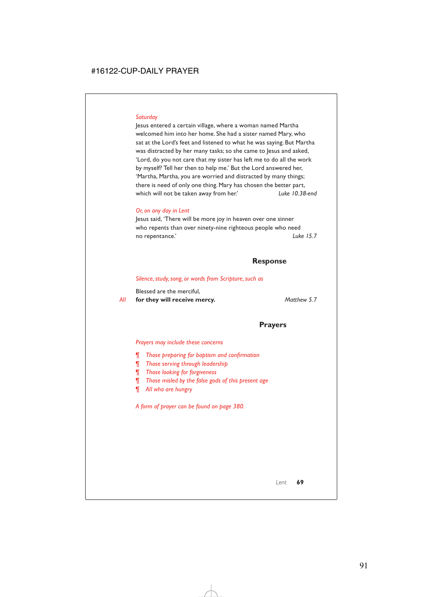#### *Saturday*

Jesus entered a certain village, where a woman named Martha welcomed him into her home. She had a sister named Mary, who sat at the Lord's feet and listened to what he was saying. But Martha was distracted by her many tasks; so she came to Jesus and asked, 'Lord, do you not care that my sister has left me to do all the work by myself? Tell her then to help me.' But the Lord answered her, 'Martha, Martha, you are worried and distracted by many things; there is need of only one thing. Mary has chosen the better part, which will not be taken away from her.' *Luke 10.38-end*

#### *Or, on any day in Lent*

Jesus said, 'There will be more joy in heaven over one sinner who repents than over ninety-nine righteous people who need no repentance.' *Luke 15.7* 

### **Response**

#### *Silence, study, song, or words from Scripture, such as*

Blessed are the merciful,

*All* **for they will receive mercy.** *Matthew 5.7*

## **Prayers**

#### *Prayers may include these concerns*

- ¶ *Those preparing for baptism and confirmation*
- ¶ *Those serving through leadership*
- ¶ *Those looking for forgiveness*
- ¶ *Those misled by the false gods of this present age*
- ¶ *All who are hungry*

*A form of prayer can be found on page 380.*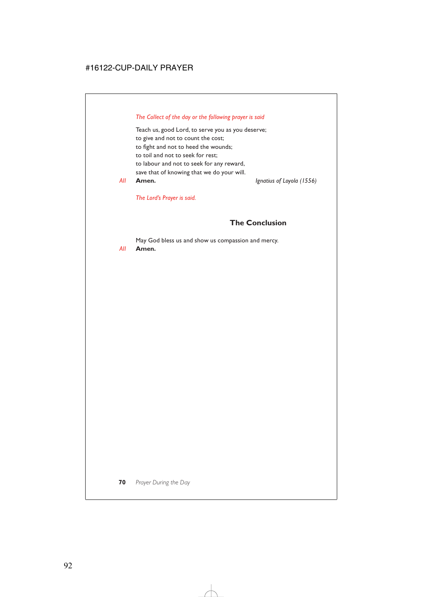### *The Collect of the day or the following prayer is said*

Teach us, good Lord, to serve you as you deserve; to give and not to count the cost; to fight and not to heed the wounds; to toil and not to seek for rest; to labour and not to seek for any reward, save that of knowing that we do your will.

*All* **Amen.** *Ignatius of Loyola (1556)*

*The Lord's Prayer is said.*

## **The Conclusion**

May God bless us and show us compassion and mercy.

*All* **Amen.**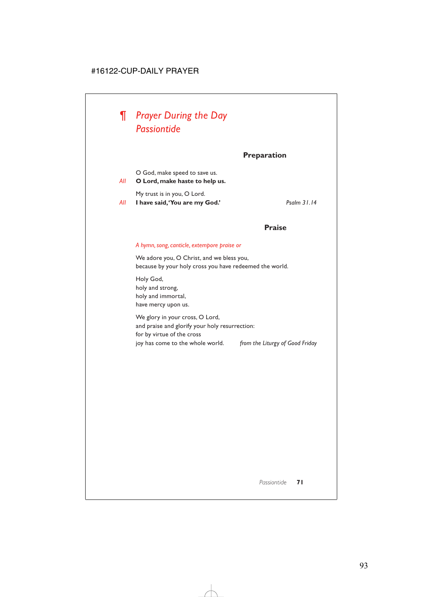## *¶ Prayer During the Day Passiontide*

## **Preparation**

O God, make speed to save us.

*All* **O Lord, make haste to help us.**

My trust is in you, O Lord.

*All* **I have said,'You are my God.'** *Psalm 31.14*

## **Praise**

#### *A hymn, song, canticle, extempore praise or*

We adore you, O Christ, and we bless you, because by your holy cross you have redeemed the world.

Holy God, holy and strong, holy and immortal, have mercy upon us.

We glory in your cross, O Lord, and praise and glorify your holy resurrection: for by virtue of the cross joy has come to the whole world. *from the Liturgy of Good Friday*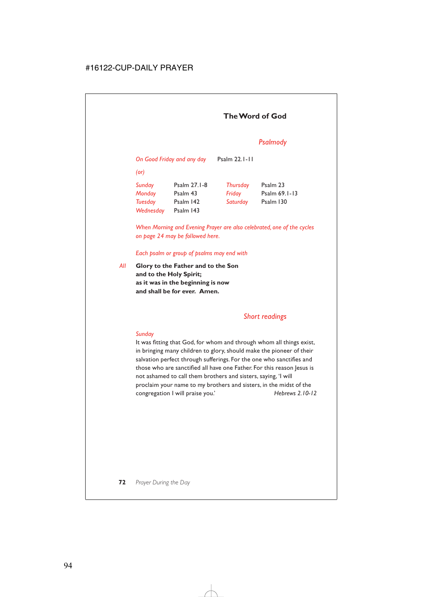## **The Word of God**

## *Psalmody*

| On Good Friday and any day |              | Psalm 22.1-11   |               |
|----------------------------|--------------|-----------------|---------------|
| (or)                       |              |                 |               |
| Sunday                     | Psalm 27.1-8 | <b>Thursday</b> | Psalm 23      |
| Monday                     | Psalm 43     | Friday          | Psalm 69.1-13 |
| <b>Tuesday</b>             | Psalm 142    | Saturday        | Psalm 130     |
| Wednesday                  | Psalm 143    |                 |               |

*When Morning and Evening Prayer are also celebrated, one of the cycles on page 24 may be followed here.*

*Each psalm or group of psalms may end with* 

*All* **Glory to the Father and to the Son and to the Holy Spirit; as it was in the beginning is now and shall be for ever. Amen.**

## *Short readings*

#### *Sunday*

It was fitting that God, for whom and through whom all things exist, in bringing many children to glory, should make the pioneer of their salvation perfect through sufferings. For the one who sanctifies and those who are sanctified all have one Father. For this reason Jesus is not ashamed to call them brothers and sisters, saying, 'I will proclaim your name to my brothers and sisters, in the midst of the congregation I will praise you.' *Hebrews 2.10-12*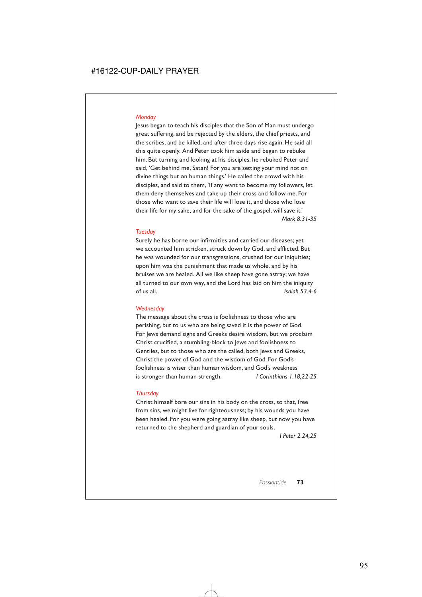#### *Monday*

Jesus began to teach his disciples that the Son of Man must undergo great suffering, and be rejected by the elders, the chief priests, and the scribes, and be killed, and after three days rise again. He said all this quite openly. And Peter took him aside and began to rebuke him. But turning and looking at his disciples, he rebuked Peter and said, 'Get behind me, Satan! For you are setting your mind not on divine things but on human things.' He called the crowd with his disciples, and said to them, 'If any want to become my followers, let them deny themselves and take up their cross and follow me. For those who want to save their life will lose it, and those who lose their life for my sake, and for the sake of the gospel, will save it.' *Mark 8.31-35*

#### *Tuesday*

Surely he has borne our infirmities and carried our diseases; yet we accounted him stricken, struck down by God, and afflicted. But he was wounded for our transgressions, crushed for our iniquities; upon him was the punishment that made us whole, and by his bruises we are healed. All we like sheep have gone astray; we have all turned to our own way, and the Lord has laid on him the iniquity of us all. *Isaiah 53.4-6*

#### *Wednesday*

The message about the cross is foolishness to those who are perishing, but to us who are being saved it is the power of God. For Jews demand signs and Greeks desire wisdom, but we proclaim Christ crucified, a stumbling-block to Jews and foolishness to Gentiles, but to those who are the called, both Jews and Greeks, Christ the power of God and the wisdom of God. For God's foolishness is wiser than human wisdom, and God's weakness is stronger than human strength. *I Corinthians 1.18,22-25*

#### *Thursday*

Christ himself bore our sins in his body on the cross, so that, free from sins, we might live for righteousness; by his wounds you have been healed. For you were going astray like sheep, but now you have returned to the shepherd and guardian of your souls.

*I Peter 2.24,25*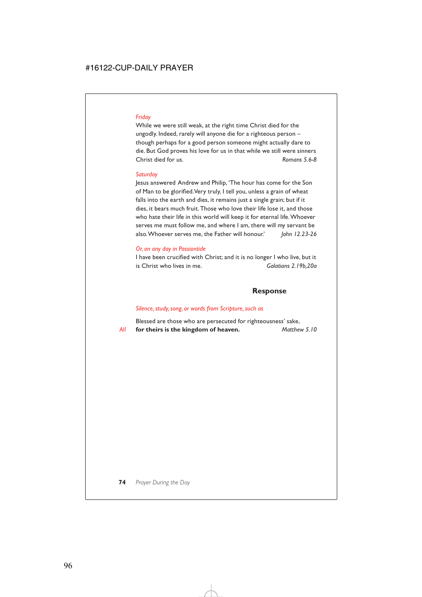### *Friday*

While we were still weak, at the right time Christ died for the ungodly. Indeed, rarely will anyone die for a righteous person – though perhaps for a good person someone might actually dare to die. But God proves his love for us in that while we still were sinners Christ died for us. *Romans 5.6-8*

#### *Saturday*

Jesus answered Andrew and Philip, 'The hour has come for the Son of Man to be glorified.Very truly, I tell you, unless a grain of wheat falls into the earth and dies, it remains just a single grain; but if it dies, it bears much fruit. Those who love their life lose it, and those who hate their life in this world will keep it for eternal life.Whoever serves me must follow me, and where I am, there will my servant be also.Whoever serves me, the Father will honour.' *John 12.23-26*

#### *Or, on any day in Passiontide*

I have been crucified with Christ; and it is no longer I who live, but it is Christ who lives in me. *Galatians 2.19b,20a*

## **Response**

#### *Silence, study, song, or words from Scripture, such as*

Blessed are those who are persecuted for righteousness' sake, *All* **for theirs is the kingdom of heaven.** *Matthew 5.10*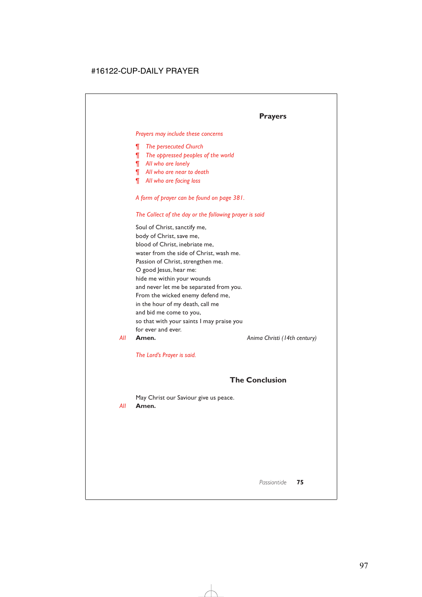## **Prayers**

#### *Prayers may include these concerns*

- ¶ *The persecuted Church*
- ¶ *The oppressed peoples of the world*
- ¶ *All who are lonely*
- ¶ *All who are near to death*
- ¶ *All who are facing loss*

#### *A form of prayer can be found on page 381.*

#### *The Collect of the day or the following prayer is said*

Soul of Christ, sanctify me, body of Christ, save me, blood of Christ, inebriate me, water from the side of Christ, wash me. Passion of Christ, strengthen me. O good Jesus, hear me: hide me within your wounds and never let me be separated from you. From the wicked enemy defend me, in the hour of my death, call me and bid me come to you, so that with your saints I may praise you for ever and ever.

*All* **Amen.** *Anima Christi (14th century)*

*The Lord's Prayer is said.*

## **The Conclusion**

May Christ our Saviour give us peace.

*All* **Amen.**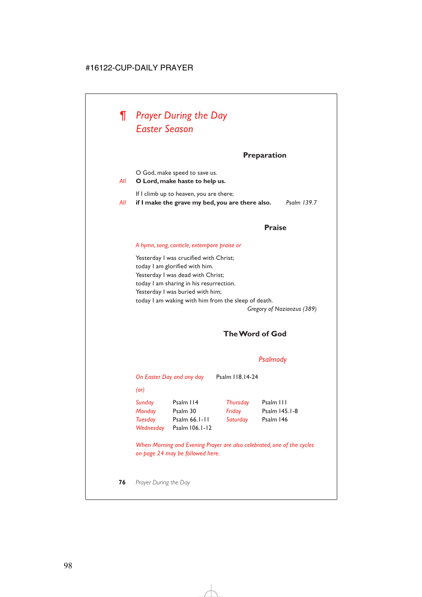## *¶ Prayer During the Day Easter Season*

## **Preparation**

O God, make speed to save us.

*All* **O Lord, make haste to help us.**

If I climb up to heaven, you are there;

*All* **if I make the grave my bed, you are there also.** *Psalm 139.7*

## **Praise**

#### *A hymn, song, canticle, extempore praise or*

Yesterday I was crucified with Christ; today I am glorified with him. Yesterday I was dead with Christ; today I am sharing in his resurrection. Yesterday I was buried with him; today I am waking with him from the sleep of death. *Gregory of Nazianzus (389)*

## **The Word of God**

## *Psalmody*

*On Easter Day and any day* Psalm 118.14-24

*(or)*

| Sunday         | Psalm 114      | <b>Thursday</b> | Psalm III     |
|----------------|----------------|-----------------|---------------|
| Monday         | Psalm 30       | Friday          | Psalm 145.1-8 |
| <b>Tuesday</b> | Psalm 66.1-11  | Saturday        | Psalm 146     |
| Wednesday      | Psalm 106.1-12 |                 |               |

*When Morning and Evening Prayer are also celebrated, one of the cycles on page 24 may be followed here.*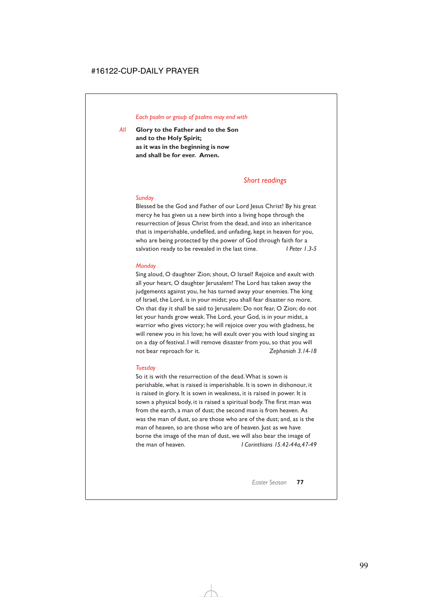#### *Each psalm or group of psalms may end with*

*All* **Glory to the Father and to the Son and to the Holy Spirit; as it was in the beginning is now and shall be for ever. Amen.**

### *Short readings*

#### *Sunday*

Blessed be the God and Father of our Lord Jesus Christ! By his great mercy he has given us a new birth into a living hope through the resurrection of Jesus Christ from the dead, and into an inheritance that is imperishable, undefiled, and unfading, kept in heaven for you, who are being protected by the power of God through faith for a salvation ready to be revealed in the last time. *I Peter 1.3-5*

#### *Monday*

Sing aloud, O daughter Zion; shout, O Israel! Rejoice and exult with all your heart, O daughter Jerusalem! The Lord has taken away the judgements against you, he has turned away your enemies. The king of Israel, the Lord, is in your midst; you shall fear disaster no more. On that day it shall be said to Jerusalem: Do not fear, O Zion; do not let your hands grow weak. The Lord, your God, is in your midst, a warrior who gives victory; he will rejoice over you with gladness, he will renew you in his love; he will exult over you with loud singing as on a day of festival. I will remove disaster from you, so that you will not bear reproach for it. *Zephaniah 3.14-18* 

#### *Tuesday*

So it is with the resurrection of the dead.What is sown is perishable, what is raised is imperishable. It is sown in dishonour, it is raised in glory. It is sown in weakness, it is raised in power. It is sown a physical body, it is raised a spiritual body. The first man was from the earth, a man of dust; the second man is from heaven. As was the man of dust, so are those who are of the dust; and, as is the man of heaven, so are those who are of heaven. Just as we have borne the image of the man of dust, we will also bear the image of the man of heaven. *I Corinthians 15.42-44a,47-49*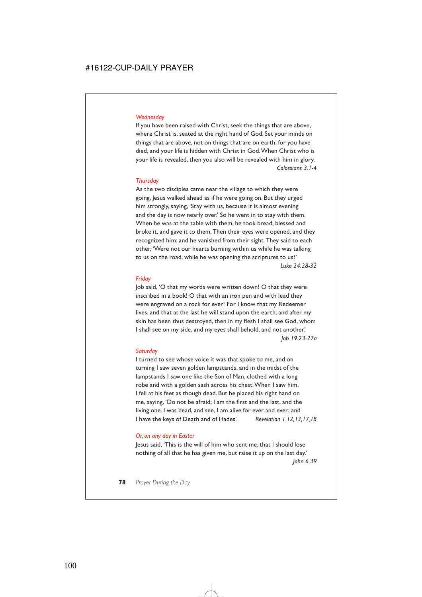#### *Wednesday*

If you have been raised with Christ, seek the things that are above, where Christ is, seated at the right hand of God. Set your minds on things that are above, not on things that are on earth, for you have died, and your life is hidden with Christ in God.When Christ who is your life is revealed, then you also will be revealed with him in glory. *Colossians 3.1-4*

#### *Thursday*

As the two disciples came near the village to which they were going, Jesus walked ahead as if he were going on. But they urged him strongly, saying, 'Stay with us, because it is almost evening and the day is now nearly over.' So he went in to stay with them. When he was at the table with them, he took bread, blessed and broke it, and gave it to them. Then their eyes were opened, and they recognized him; and he vanished from their sight. They said to each other, 'Were not our hearts burning within us while he was talking to us on the road, while he was opening the scriptures to us?'

*Luke 24.28-32*

#### *Friday*

Job said, 'O that my words were written down! O that they were inscribed in a book! O that with an iron pen and with lead they were engraved on a rock for ever! For I know that my Redeemer lives, and that at the last he will stand upon the earth; and after my skin has been thus destroyed, then in my flesh I shall see God, whom I shall see on my side, and my eyes shall behold, and not another.' *Job 19.23-27a*

#### *Saturday*

I turned to see whose voice it was that spoke to me, and on turning I saw seven golden lampstands, and in the midst of the lampstands I saw one like the Son of Man, clothed with a long robe and with a golden sash across his chest.When I saw him, I fell at his feet as though dead. But he placed his right hand on me, saying, 'Do not be afraid; I am the first and the last, and the living one. I was dead, and see, I am alive for ever and ever; and I have the keys of Death and of Hades.' *Revelation 1.12,13,17,18*

#### *Or, on any day in Easter*

Jesus said, 'This is the will of him who sent me, that I should lose nothing of all that he has given me, but raise it up on the last day.'

*John 6.39*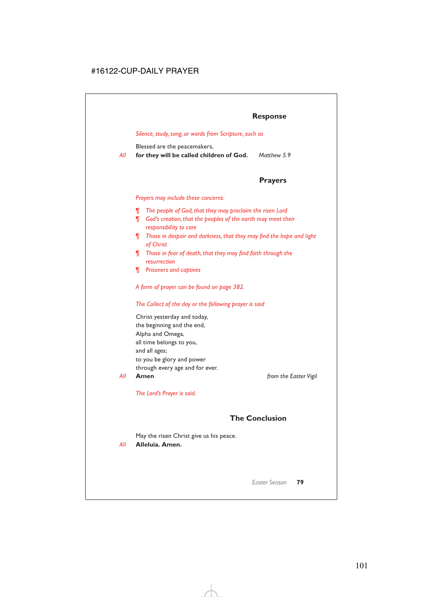## **Response**

#### *Silence, study, song, or words from Scripture, such as*

Blessed are the peacemakers,

*All* **for they will be called children of God.** *Matthew 5.9*

### **Prayers**

#### *Prayers may include these concerns:*

- ¶ *The people of God, that they may proclaim the risen Lord*
- ¶ *God's creation, that the peoples of the earth may meet their responsibility to care*
- ¶ *Those in despair and darkness, that they may find the hope and light of Christ*
- ¶ *Those in fear of death, that they may find faith through the resurrection*
- ¶ *Prisoners and captives*

#### *A form of prayer can be found on page 382.*

#### *The Collect of the day or the following prayer is said*

Christ yesterday and today, the beginning and the end, Alpha and Omega, all time belongs to you, and all ages; to you be glory and power through every age and for ever.

*All* **Amen** *from the Easter Vigil*

*The Lord's Prayer is said.*

## **The Conclusion**

May the risen Christ give us his peace.

#### *All* **Alleluia. Amen.**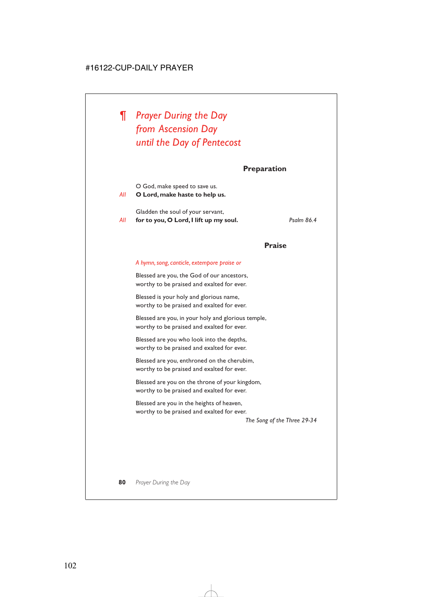*¶ Prayer During the Day from Ascension Day until the Day of Pentecost*

**Preparation**

O God, make speed to save us. *All* **O Lord, make haste to help us.**

Gladden the soul of your servant,

*All* **for to you, O Lord, I lift up my soul.** *Psalm 86.4*

## **Praise**

#### *A hymn, song, canticle, extempore praise or*

Blessed are you, the God of our ancestors, worthy to be praised and exalted for ever.

Blessed is your holy and glorious name, worthy to be praised and exalted for ever.

Blessed are you, in your holy and glorious temple, worthy to be praised and exalted for ever.

Blessed are you who look into the depths, worthy to be praised and exalted for ever.

Blessed are you, enthroned on the cherubim, worthy to be praised and exalted for ever.

Blessed are you on the throne of your kingdom, worthy to be praised and exalted for ever.

Blessed are you in the heights of heaven, worthy to be praised and exalted for ever.

*The Song of the Three 29-34*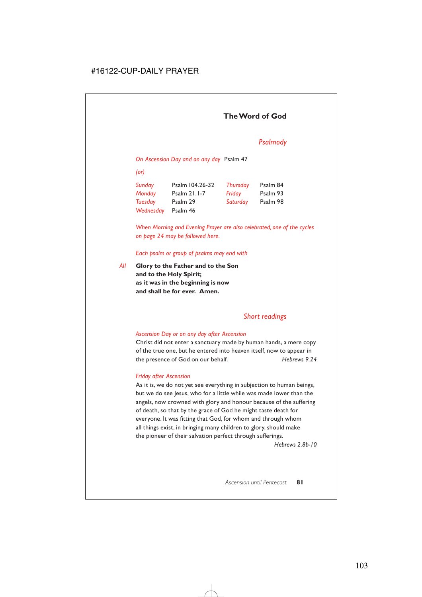## **The Word of God**

### *Psalmody*

*On Ascension Day and on any day* Psalm 47

*(or)*

*Sunday* Psalm 104.26-32 *Thursday* Psalm 84 *Monday* Psalm 21.1-7 *Friday* Psalm 93 *Tuesday* Psalm 29 *Saturday* Psalm 98 *Wednesday* Psalm 46

*When Morning and Evening Prayer are also celebrated, one of the cycles on page 24 may be followed here.*

*Each psalm or group of psalms may end with* 

*All* **Glory to the Father and to the Son and to the Holy Spirit; as it was in the beginning is now and shall be for ever. Amen.**

## *Short readings*

#### *Ascension Day or on any day after Ascension*

Christ did not enter a sanctuary made by human hands, a mere copy of the true one, but he entered into heaven itself, now to appear in the presence of God on our behalf. *Hebrews 9.24*

#### *Friday after Ascension*

As it is, we do not yet see everything in subjection to human beings, but we do see Jesus, who for a little while was made lower than the angels, now crowned with glory and honour because of the suffering of death, so that by the grace of God he might taste death for everyone. It was fitting that God, for whom and through whom all things exist, in bringing many children to glory, should make the pioneer of their salvation perfect through sufferings.

*Hebrews 2.8b-10*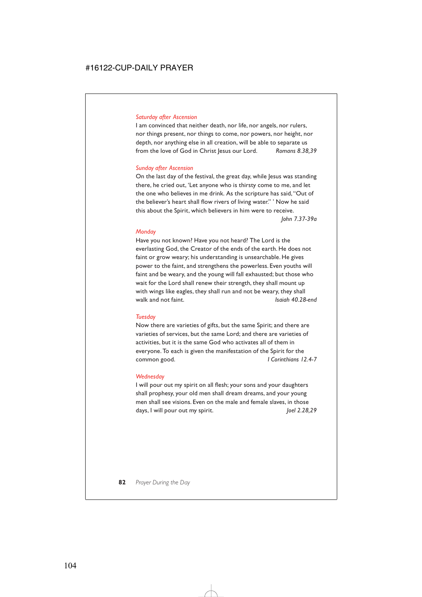#### *Saturday after Ascension*

I am convinced that neither death, nor life, nor angels, nor rulers, nor things present, nor things to come, nor powers, nor height, nor depth, nor anything else in all creation, will be able to separate us from the love of God in Christ Jesus our Lord. *Romans 8.38,39* 

#### *Sunday after Ascension*

On the last day of the festival, the great day, while Jesus was standing there, he cried out, 'Let anyone who is thirsty come to me, and let the one who believes in me drink. As the scripture has said,"Out of the believer's heart shall flow rivers of living water." ' Now he said this about the Spirit, which believers in him were to receive.

*John 7.37-39a*

#### *Monday*

Have you not known? Have you not heard? The Lord is the everlasting God, the Creator of the ends of the earth. He does not faint or grow weary; his understanding is unsearchable. He gives power to the faint, and strengthens the powerless. Even youths will faint and be weary, and the young will fall exhausted; but those who wait for the Lord shall renew their strength, they shall mount up with wings like eagles, they shall run and not be weary, they shall walk and not faint. *Isaiah 40.28-end*

#### *Tuesday*

Now there are varieties of gifts, but the same Spirit; and there are varieties of services, but the same Lord; and there are varieties of activities, but it is the same God who activates all of them in everyone. To each is given the manifestation of the Spirit for the common good. *I Corinthians 12.4-7* 

#### *Wednesday*

I will pour out my spirit on all flesh; your sons and your daughters shall prophesy, your old men shall dream dreams, and your young men shall see visions. Even on the male and female slaves, in those days, I will pour out my spirit. *Joel 2.28,29*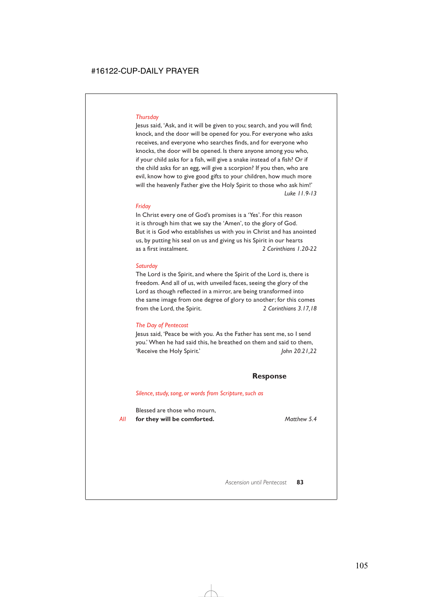#### *Thursday*

Jesus said, 'Ask, and it will be given to you; search, and you will find; knock, and the door will be opened for you. For everyone who asks receives, and everyone who searches finds, and for everyone who knocks, the door will be opened. Is there anyone among you who, if your child asks for a fish, will give a snake instead of a fish? Or if the child asks for an egg, will give a scorpion? If you then, who are evil, know how to give good gifts to your children, how much more will the heavenly Father give the Holy Spirit to those who ask him!' *Luke 11.9-13* 

#### *Friday*

In Christ every one of God's promises is a 'Yes'. For this reason it is through him that we say the 'Amen', to the glory of God. But it is God who establishes us with you in Christ and has anointed us, by putting his seal on us and giving us his Spirit in our hearts as a first instalment. *2 Corinthians 1.20-22*

#### *Saturday*

The Lord is the Spirit, and where the Spirit of the Lord is, there is freedom. And all of us, with unveiled faces, seeing the glory of the Lord as though reflected in a mirror, are being transformed into the same image from one degree of glory to another; for this comes from the Lord, the Spirit. *2 Corinthians 3.17,18*

#### *The Day of Pentecost*

Jesus said, 'Peace be with you. As the Father has sent me, so I send you.' When he had said this, he breathed on them and said to them, 'Receive the Holy Spirit.' *John 20.21,22*

## **Response**

#### *Silence, study, song, or words from Scripture, such as*

Blessed are those who mourn,

*All* **for they will be comforted.** *Matthew 5.4*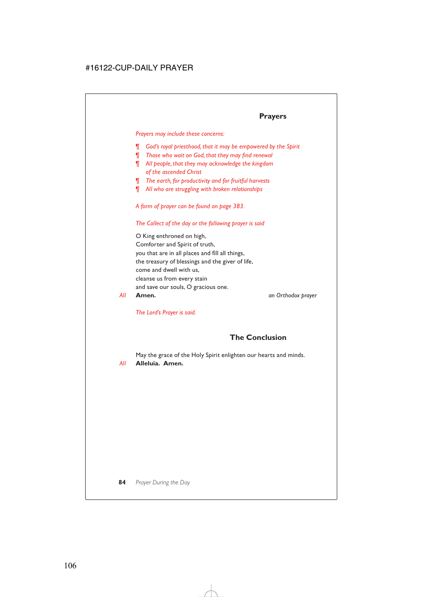## **Prayers**

*Prayers may include these concerns:*

- ¶ *God's royal priesthood, that it may be empowered by the Spirit*
- ¶ *Those who wait on God, that they may find renewal*
- ¶ *All people, that they may acknowledge the kingdom of the ascended Christ*
- ¶ *The earth, for productivity and for fruitful harvests*
- ¶ *All who are struggling with broken relationships*

*A form of prayer can be found on page 383.*

*The Collect of the day or the following prayer is said*

O King enthroned on high, Comforter and Spirit of truth, you that are in all places and fill all things, the treasury of blessings and the giver of life, come and dwell with us, cleanse us from every stain and save our souls, O gracious one.

*All* **Amen.** *an Orthodox prayer*

*The Lord's Prayer is said.*

## **The Conclusion**

May the grace of the Holy Spirit enlighten our hearts and minds.

*All* **Alleluia. Amen.**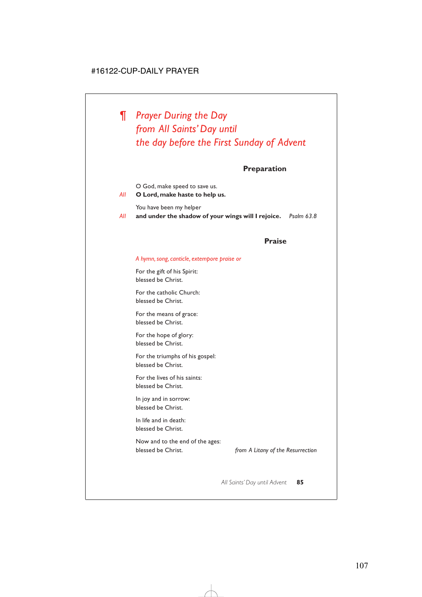## *¶ Prayer During the Day from All Saints' Day until the day before the First Sunday of Advent*

## **Preparation**

O God, make speed to save us. *All* **O Lord, make haste to help us.**

You have been my helper

*All* **and under the shadow of your wings will I rejoice.** *Psalm 63.8* 

### **Praise**

#### *A hymn, song, canticle, extempore praise or*

For the gift of his Spirit: blessed be Christ.

For the catholic Church: blessed be Christ.

For the means of grace: blessed be Christ.

For the hope of glory: blessed be Christ.

For the triumphs of his gospel: blessed be Christ.

For the lives of his saints: blessed be Christ.

In joy and in sorrow: blessed be Christ.

In life and in death: blessed be Christ.

Now and to the end of the ages: blessed be Christ. *from A Litany of the Resurrection*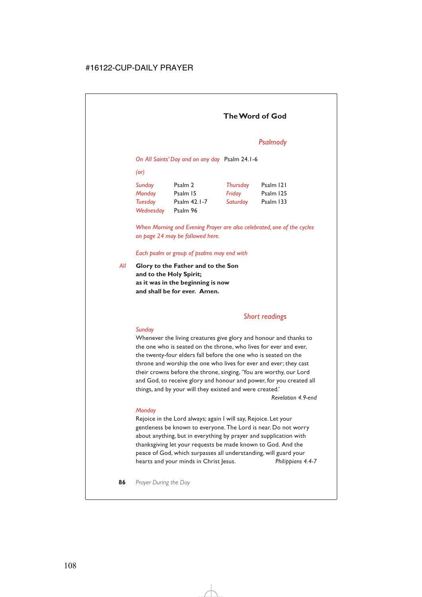## **The Word of God**

## *Psalmody*

*On All Saints' Day and on any day* Psalm 24.1-6

*(or)*

*Sunday* Psalm 2 *Thursday* Psalm 121 *Monday* Psalm 15 *Friday* Psalm 125 *Tuesday* Psalm 42.1-7 *Saturday* Psalm 133 *Wednesday* Psalm 96

*When Morning and Evening Prayer are also celebrated, one of the cycles on page 24 may be followed here.*

*Each psalm or group of psalms may end with*

*All* **Glory to the Father and to the Son and to the Holy Spirit; as it was in the beginning is now and shall be for ever. Amen.**

## *Short readings*

#### *Sunday*

Whenever the living creatures give glory and honour and thanks to the one who is seated on the throne, who lives for ever and ever, the twenty-four elders fall before the one who is seated on the throne and worship the one who lives for ever and ever; they cast their crowns before the throne, singing, 'You are worthy, our Lord and God, to receive glory and honour and power, for you created all things, and by your will they existed and were created.'

*Revelation 4.9-end*

#### *Monday*

Rejoice in the Lord always; again I will say, Rejoice. Let your gentleness be known to everyone. The Lord is near. Do not worry about anything, but in everything by prayer and supplication with thanksgiving let your requests be made known to God. And the peace of God, which surpasses all understanding, will guard your hearts and your minds in Christ Jesus. *Philippians 4.4-7*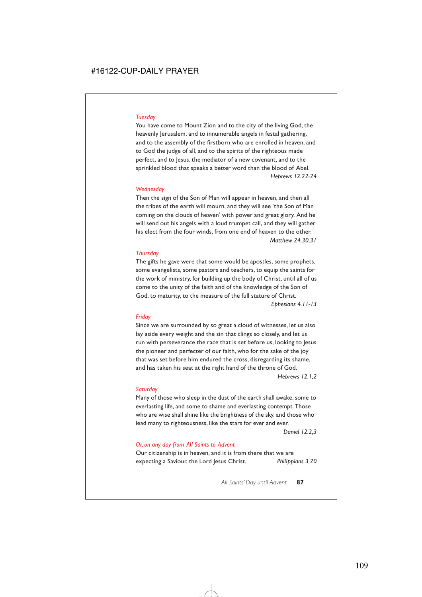#### *Tuesday*

You have come to Mount Zion and to the city of the living God, the heavenly Jerusalem, and to innumerable angels in festal gathering, and to the assembly of the firstborn who are enrolled in heaven, and to God the judge of all, and to the spirits of the righteous made perfect, and to Jesus, the mediator of a new covenant, and to the sprinkled blood that speaks a better word than the blood of Abel. *Hebrews 12.22-24*

#### *Wednesday*

Then the sign of the Son of Man will appear in heaven, and then all the tribes of the earth will mourn, and they will see 'the Son of Man coming on the clouds of heaven' with power and great glory. And he will send out his angels with a loud trumpet call, and they will gather his elect from the four winds, from one end of heaven to the other. *Matthew 24.30,31*

#### *Thursday*

The gifts he gave were that some would be apostles, some prophets, some evangelists, some pastors and teachers, to equip the saints for the work of ministry, for building up the body of Christ, until all of us come to the unity of the faith and of the knowledge of the Son of God, to maturity, to the measure of the full stature of Christ. *Ephesians 4.11-13*

#### *Friday*

Since we are surrounded by so great a cloud of witnesses, let us also lay aside every weight and the sin that clings so closely, and let us run with perseverance the race that is set before us, looking to Jesus the pioneer and perfecter of our faith, who for the sake of the joy that was set before him endured the cross, disregarding its shame, and has taken his seat at the right hand of the throne of God.

*Hebrews 12.1,2*

#### *Saturday*

Many of those who sleep in the dust of the earth shall awake, some to everlasting life, and some to shame and everlasting contempt. Those who are wise shall shine like the brightness of the sky, and those who lead many to righteousness, like the stars for ever and ever.

*Daniel 12.2,3*

#### *Or, on any day from All Saints to Advent*

Our citizenship is in heaven, and it is from there that we are expecting a Saviour, the Lord Jesus Christ. *Philippians 3.20*